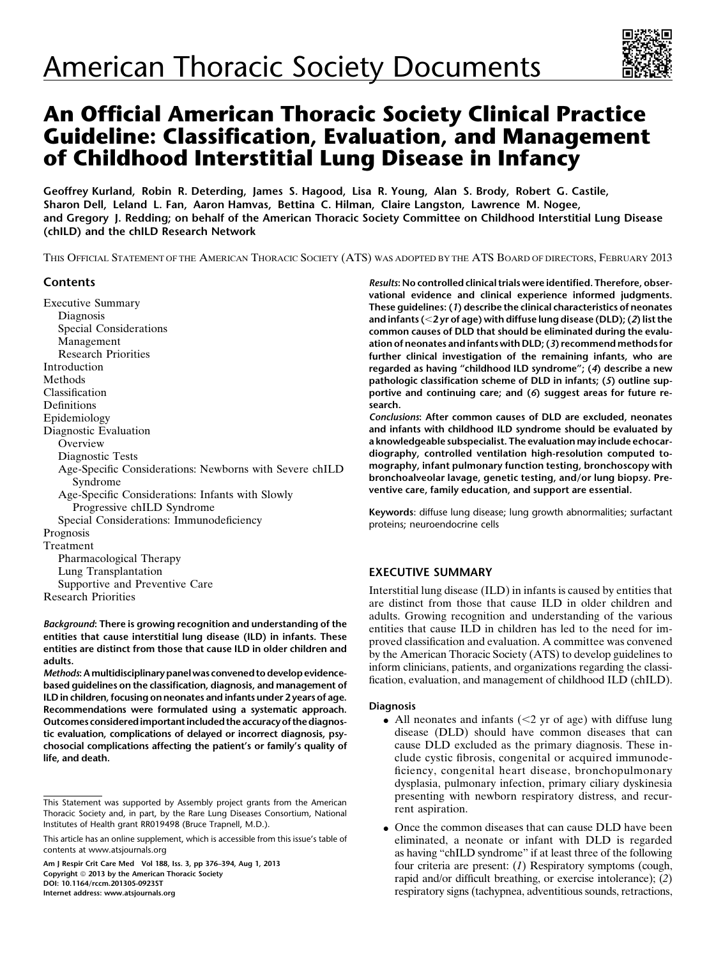

# An Official American Thoracic Society Clinical Practice Guideline: Classification, Evaluation, and Management of Childhood Interstitial Lung Disease in Infancy

Geoffrey Kurland, Robin R. Deterding, James S. Hagood, Lisa R. Young, Alan S. Brody, Robert G. Castile, Sharon Dell, Leland L. Fan, Aaron Hamvas, Bettina C. Hilman, Claire Langston, Lawrence M. Nogee, and Gregory J. Redding; on behalf of the American Thoracic Society Committee on Childhood Interstitial Lung Disease (chILD) and the chILD Research Network

THIS OFFICIAL STATEMENT OF THE AMERICAN THORACIC SOCIETY (ATS) WAS ADOPTED BY THE ATS BOARD OF DIRECTORS, FEBRUARY 2013

# **Contents**

Executive Summary Diagnosis Special Considerations Management Research Priorities Introduction Methods Classification Definitions Epidemiology Diagnostic Evaluation **Overview** Diagnostic Tests Age-Specific Considerations: Newborns with Severe chILD Syndrome Age-Specific Considerations: Infants with Slowly Progressive chILD Syndrome Special Considerations: Immunodeficiency Prognosis Treatment Pharmacological Therapy Lung Transplantation Supportive and Preventive Care Research Priorities

Background: There is growing recognition and understanding of the entities that cause interstitial lung disease (ILD) in infants. These entities are distinct from those that cause ILD in older children and adults.

Methods: Amultidisciplinary panelwas convened to develop evidencebased guidelines on the classification, diagnosis, and management of ILD in children, focusing on neonates and infants under 2 years of age. Recommendations were formulated using a systematic approach. Outcomes consideredimportantincluded the accuracyof the diagnostic evaluation, complications of delayed or incorrect diagnosis, psychosocial complications affecting the patient's or family's quality of life, and death.

Am J Respir Crit Care Med Vol 188, Iss. 3, pp 376–394, Aug 1, 2013 Copyright ª 2013 by the American Thoracic Society DOI: 10.1164/rccm.201305-0923ST Internet address: www.atsjournals.org

Results: No controlled clinical trials were identified. Therefore, observational evidence and clinical experience informed judgments. These guidelines: (1) describe the clinical characteristics of neonates and infants ( $<$ 2 yr of age) with diffuse lung disease (DLD); (2) list the common causes of DLD that should be eliminated during the evaluation of neonates and infants with DLD; (3) recommend methods for further clinical investigation of the remaining infants, who are regarded as having "childhood ILD syndrome"; (4) describe a new pathologic classification scheme of DLD in infants; (5) outline supportive and continuing care; and (6) suggest areas for future research.

Conclusions: After common causes of DLD are excluded, neonates and infants with childhood ILD syndrome should be evaluated by a knowledgeable subspecialist. The evaluation may include echocardiography, controlled ventilation high-resolution computed tomography, infant pulmonary function testing, bronchoscopy with bronchoalveolar lavage, genetic testing, and/or lung biopsy. Preventive care, family education, and support are essential.

Keywords: diffuse lung disease; lung growth abnormalities; surfactant proteins; neuroendocrine cells

# EXECUTIVE SUMMARY

Interstitial lung disease (ILD) in infants is caused by entities that are distinct from those that cause ILD in older children and adults. Growing recognition and understanding of the various entities that cause ILD in children has led to the need for improved classification and evaluation. A committee was convened by the American Thoracic Society (ATS) to develop guidelines to inform clinicians, patients, and organizations regarding the classification, evaluation, and management of childhood ILD (chILD).

# **Diagnosis**

- All neonates and infants  $(< 2$  yr of age) with diffuse lung disease (DLD) should have common diseases that can cause DLD excluded as the primary diagnosis. These include cystic fibrosis, congenital or acquired immunodeficiency, congenital heart disease, bronchopulmonary dysplasia, pulmonary infection, primary ciliary dyskinesia presenting with newborn respiratory distress, and recurrent aspiration.
- Once the common diseases that can cause DLD have been eliminated, a neonate or infant with DLD is regarded as having "chILD syndrome" if at least three of the following four criteria are present: (1) Respiratory symptoms (cough, rapid and/or difficult breathing, or exercise intolerance); (2) respiratory signs (tachypnea, adventitious sounds, retractions,

This Statement was supported by Assembly project grants from the American Thoracic Society and, in part, by the Rare Lung Diseases Consortium, National Institutes of Health grant RR019498 (Bruce Trapnell, M.D.).

This article has an online supplement, which is accessible from this issue's table of contents at [www.atsjournals.org](http://www.atsjournals.org)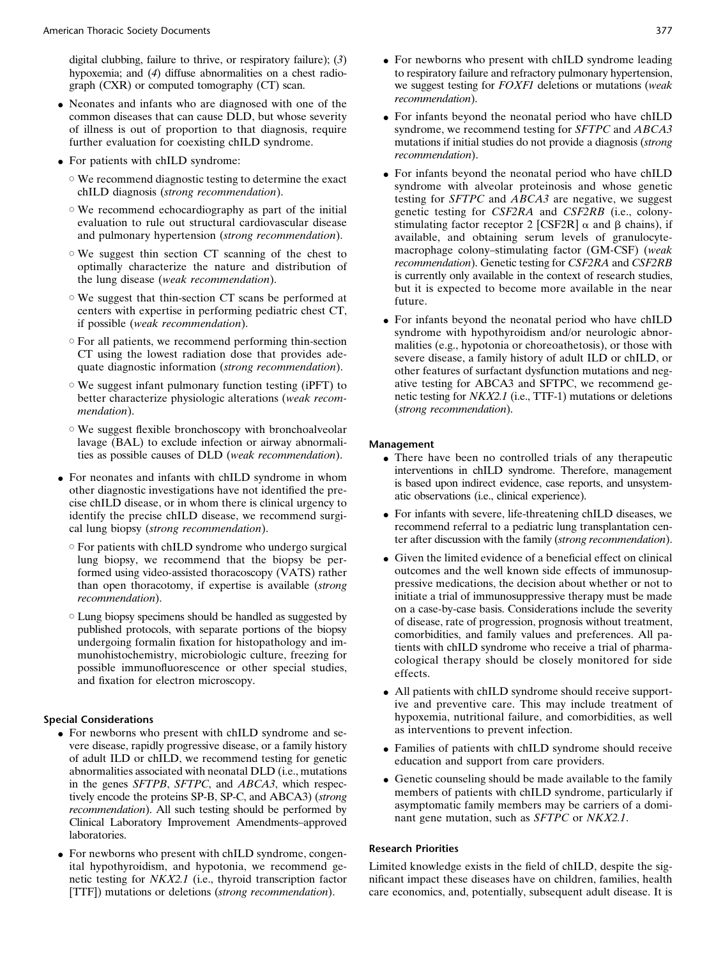digital clubbing, failure to thrive, or respiratory failure); (3) hypoxemia; and (4) diffuse abnormalities on a chest radiograph (CXR) or computed tomography (CT) scan.

- Neonates and infants who are diagnosed with one of the common diseases that can cause DLD, but whose severity of illness is out of proportion to that diagnosis, require further evaluation for coexisting chILD syndrome.
- For patients with chILD syndrome:
	- $\circ$  We recommend diagnostic testing to determine the exact chILD diagnosis (strong recommendation).
	- $\circ$  We recommend echocardiography as part of the initial evaluation to rule out structural cardiovascular disease and pulmonary hypertension (strong recommendation).
	- $\circ$  We suggest thin section CT scanning of the chest to optimally characterize the nature and distribution of the lung disease (weak recommendation).
	- $\circ$  We suggest that thin-section CT scans be performed at centers with expertise in performing pediatric chest CT, if possible (weak recommendation).
	- $\circ$  For all patients, we recommend performing thin-section CT using the lowest radiation dose that provides adequate diagnostic information (strong recommendation).
	- $\circ$  We suggest infant pulmonary function testing (iPFT) to better characterize physiologic alterations (weak recommendation).
	- $\circ$  We suggest flexible bronchoscopy with bronchoalveolar lavage (BAL) to exclude infection or airway abnormalities as possible causes of DLD (weak recommendation).
- For neonates and infants with chILD syndrome in whom other diagnostic investigations have not identified the precise chILD disease, or in whom there is clinical urgency to identify the precise chILD disease, we recommend surgical lung biopsy (strong recommendation).
	- $\circ$  For patients with chILD syndrome who undergo surgical lung biopsy, we recommend that the biopsy be performed using video-assisted thoracoscopy (VATS) rather than open thoracotomy, if expertise is available (strong recommendation).
	- $\circ$  Lung biopsy specimens should be handled as suggested by published protocols, with separate portions of the biopsy undergoing formalin fixation for histopathology and immunohistochemistry, microbiologic culture, freezing for possible immunofluorescence or other special studies, and fixation for electron microscopy.

## Special Considerations

- For newborns who present with chILD syndrome and severe disease, rapidly progressive disease, or a family history of adult ILD or chILD, we recommend testing for genetic abnormalities associated with neonatal DLD (i.e., mutations in the genes SFTPB, SFTPC, and ABCA3, which respectively encode the proteins SP-B, SP-C, and ABCA3) (strong recommendation). All such testing should be performed by Clinical Laboratory Improvement Amendments–approved laboratories.
- For newborns who present with chILD syndrome, congenital hypothyroidism, and hypotonia, we recommend genetic testing for NKX2.1 (i.e., thyroid transcription factor [TTF]) mutations or deletions (strong recommendation).
- For newborns who present with chILD syndrome leading to respiratory failure and refractory pulmonary hypertension, we suggest testing for *FOXF1* deletions or mutations (weak recommendation).
- For infants beyond the neonatal period who have chILD syndrome, we recommend testing for SFTPC and ABCA3 mutations if initial studies do not provide a diagnosis (strong recommendation).
- For infants beyond the neonatal period who have chILD syndrome with alveolar proteinosis and whose genetic testing for SFTPC and ABCA3 are negative, we suggest genetic testing for CSF2RA and CSF2RB (i.e., colonystimulating factor receptor 2 [CSF2R]  $\alpha$  and  $\beta$  chains), if available, and obtaining serum levels of granulocytemacrophage colony–stimulating factor (GM-CSF) (weak recommendation). Genetic testing for CSF2RA and CSF2RB is currently only available in the context of research studies, but it is expected to become more available in the near future.
- For infants beyond the neonatal period who have chILD syndrome with hypothyroidism and/or neurologic abnormalities (e.g., hypotonia or choreoathetosis), or those with severe disease, a family history of adult ILD or chILD, or other features of surfactant dysfunction mutations and negative testing for ABCA3 and SFTPC, we recommend genetic testing for NKX2.1 (i.e., TTF-1) mutations or deletions (strong recommendation).

#### Management

- There have been no controlled trials of any therapeutic interventions in chILD syndrome. Therefore, management is based upon indirect evidence, case reports, and unsystematic observations (i.e., clinical experience).
- For infants with severe, life-threatening chILD diseases, we recommend referral to a pediatric lung transplantation center after discussion with the family (strong recommendation).
- Given the limited evidence of a beneficial effect on clinical outcomes and the well known side effects of immunosuppressive medications, the decision about whether or not to initiate a trial of immunosuppressive therapy must be made on a case-by-case basis. Considerations include the severity of disease, rate of progression, prognosis without treatment, comorbidities, and family values and preferences. All patients with chILD syndrome who receive a trial of pharmacological therapy should be closely monitored for side effects.
- All patients with chILD syndrome should receive supportive and preventive care. This may include treatment of hypoxemia, nutritional failure, and comorbidities, as well as interventions to prevent infection.
- <sup>d</sup> Families of patients with chILD syndrome should receive education and support from care providers.
- Genetic counseling should be made available to the family members of patients with chILD syndrome, particularly if asymptomatic family members may be carriers of a dominant gene mutation, such as SFTPC or NKX2.1.

#### Research Priorities

Limited knowledge exists in the field of chILD, despite the significant impact these diseases have on children, families, health care economics, and, potentially, subsequent adult disease. It is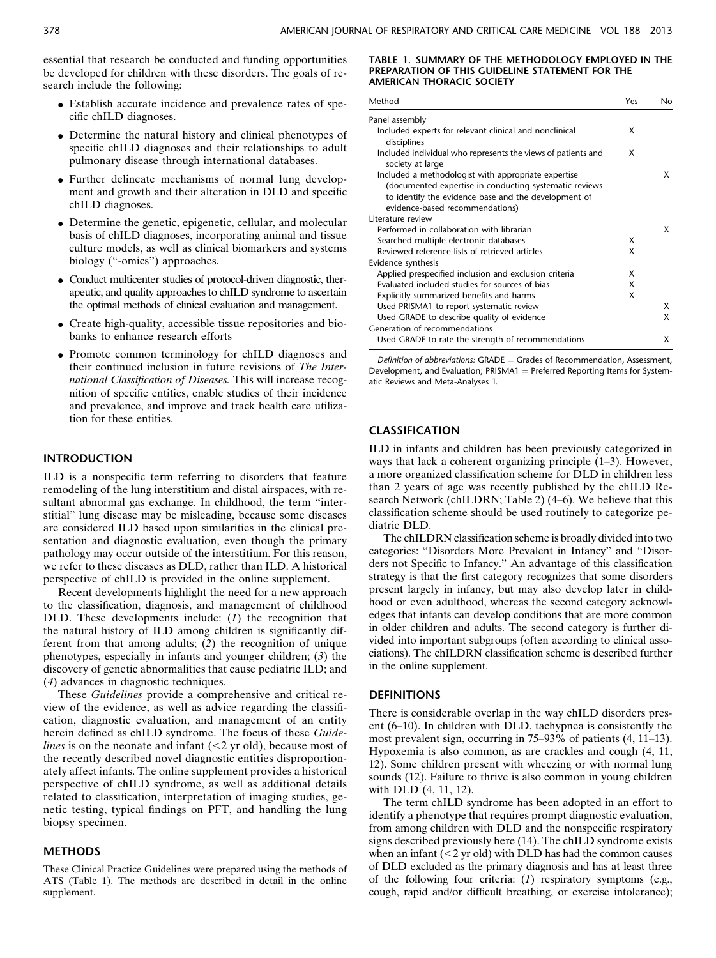essential that research be conducted and funding opportunities be developed for children with these disorders. The goals of research include the following:

- Establish accurate incidence and prevalence rates of specific chILD diagnoses.
- Determine the natural history and clinical phenotypes of specific chILD diagnoses and their relationships to adult pulmonary disease through international databases.
- Further delineate mechanisms of normal lung development and growth and their alteration in DLD and specific chILD diagnoses.
- $\bullet$  Determine the genetic, epigenetic, cellular, and molecular basis of chILD diagnoses, incorporating animal and tissue culture models, as well as clinical biomarkers and systems biology ("-omics") approaches.
- Conduct multicenter studies of protocol-driven diagnostic, therapeutic, and quality approaches to chILD syndrome to ascertain the optimal methods of clinical evaluation and management.
- Create high-quality, accessible tissue repositories and biobanks to enhance research efforts
- Promote common terminology for chILD diagnoses and their continued inclusion in future revisions of The International Classification of Diseases. This will increase recognition of specific entities, enable studies of their incidence and prevalence, and improve and track health care utilization for these entities.

## INTRODUCTION

ILD is a nonspecific term referring to disorders that feature remodeling of the lung interstitium and distal airspaces, with resultant abnormal gas exchange. In childhood, the term "interstitial" lung disease may be misleading, because some diseases are considered ILD based upon similarities in the clinical presentation and diagnostic evaluation, even though the primary pathology may occur outside of the interstitium. For this reason, we refer to these diseases as DLD, rather than ILD. A historical perspective of chILD is provided in the online supplement.

Recent developments highlight the need for a new approach to the classification, diagnosis, and management of childhood DLD. These developments include: (1) the recognition that the natural history of ILD among children is significantly different from that among adults; (2) the recognition of unique phenotypes, especially in infants and younger children; (3) the discovery of genetic abnormalities that cause pediatric ILD; and (4) advances in diagnostic techniques.

These Guidelines provide a comprehensive and critical review of the evidence, as well as advice regarding the classification, diagnostic evaluation, and management of an entity herein defined as chILD syndrome. The focus of these Guide*lines* is on the neonate and infant  $(\leq 2$  yr old), because most of the recently described novel diagnostic entities disproportionately affect infants. The online supplement provides a historical perspective of chILD syndrome, as well as additional details related to classification, interpretation of imaging studies, genetic testing, typical findings on PFT, and handling the lung biopsy specimen.

## **METHODS**

These Clinical Practice Guidelines were prepared using the methods of ATS (Table 1). The methods are described in detail in the online supplement.

#### TABLE 1. SUMMARY OF THE METHODOLOGY EMPLOYED IN THE PREPARATION OF THIS GUIDELINE STATEMENT FOR THE AMERICAN THORACIC SOCIETY

| Method                                                                                                                                                                                                   | Yes | Nο |
|----------------------------------------------------------------------------------------------------------------------------------------------------------------------------------------------------------|-----|----|
| Panel assembly                                                                                                                                                                                           |     |    |
| Included experts for relevant clinical and nonclinical<br>disciplines                                                                                                                                    | х   |    |
| Included individual who represents the views of patients and<br>society at large                                                                                                                         | x   |    |
| Included a methodologist with appropriate expertise<br>(documented expertise in conducting systematic reviews<br>to identify the evidence base and the development of<br>evidence-based recommendations) |     | x  |
| Literature review                                                                                                                                                                                        |     |    |
| Performed in collaboration with librarian                                                                                                                                                                |     | X  |
| Searched multiple electronic databases                                                                                                                                                                   | х   |    |
| Reviewed reference lists of retrieved articles                                                                                                                                                           | x   |    |
| Evidence synthesis                                                                                                                                                                                       |     |    |
| Applied prespecified inclusion and exclusion criteria                                                                                                                                                    | х   |    |
| Evaluated included studies for sources of bias                                                                                                                                                           | X   |    |
| Explicitly summarized benefits and harms                                                                                                                                                                 | x   |    |
| Used PRISMA1 to report systematic review                                                                                                                                                                 |     | x  |
| Used GRADE to describe quality of evidence<br>Generation of recommendations                                                                                                                              |     | x  |
| Used GRADE to rate the strength of recommendations                                                                                                                                                       |     | x  |

Definition of abbreviations:  $GRADE = Grades$  of Recommendation, Assessment, Development, and Evaluation; PRISMA1 = Preferred Reporting Items for Systematic Reviews and Meta-Analyses 1.

## CLASSIFICATION

ILD in infants and children has been previously categorized in ways that lack a coherent organizing principle (1–3). However, a more organized classification scheme for DLD in children less than 2 years of age was recently published by the chILD Research Network (chILDRN; Table 2) (4–6). We believe that this classification scheme should be used routinely to categorize pediatric DLD.

The chILDRN classification scheme is broadly divided into two categories: "Disorders More Prevalent in Infancy" and "Disorders not Specific to Infancy." An advantage of this classification strategy is that the first category recognizes that some disorders present largely in infancy, but may also develop later in childhood or even adulthood, whereas the second category acknowledges that infants can develop conditions that are more common in older children and adults. The second category is further divided into important subgroups (often according to clinical associations). The chILDRN classification scheme is described further in the online supplement.

#### DEFINITIONS

There is considerable overlap in the way chILD disorders present (6–10). In children with DLD, tachypnea is consistently the most prevalent sign, occurring in 75–93% of patients (4, 11–13). Hypoxemia is also common, as are crackles and cough (4, 11, 12). Some children present with wheezing or with normal lung sounds (12). Failure to thrive is also common in young children with DLD (4, 11, 12).

The term chILD syndrome has been adopted in an effort to identify a phenotype that requires prompt diagnostic evaluation, from among children with DLD and the nonspecific respiratory signs described previously here (14). The chILD syndrome exists when an infant  $(< 2$  yr old) with DLD has had the common causes of DLD excluded as the primary diagnosis and has at least three of the following four criteria:  $(1)$  respiratory symptoms (e.g., cough, rapid and/or difficult breathing, or exercise intolerance);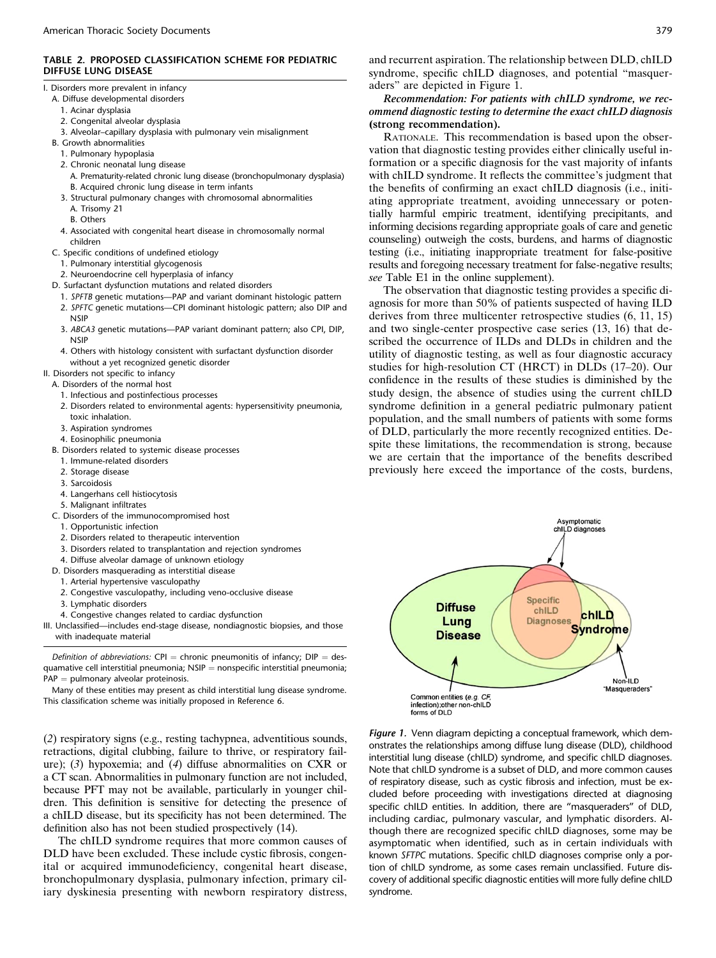#### TABLE 2. PROPOSED CLASSIFICATION SCHEME FOR PEDIATRIC DIFFUSE LUNG DISEASE

- I. Disorders more prevalent in infancy
	- A. Diffuse developmental disorders
		- 1. Acinar dysplasia
		- 2. Congenital alveolar dysplasia
		- 3. Alveolar–capillary dysplasia with pulmonary vein misalignment
	- B. Growth abnormalities
		- 1. Pulmonary hypoplasia
		- 2. Chronic neonatal lung disease A. Prematurity-related chronic lung disease (bronchopulmonary dysplasia) B. Acquired chronic lung disease in term infants
		- 3. Structural pulmonary changes with chromosomal abnormalities A. Trisomy 21
		- B. Others
	- 4. Associated with congenital heart disease in chromosomally normal children
	- C. Specific conditions of undefined etiology
		- 1. Pulmonary interstitial glycogenosis
	- 2. Neuroendocrine cell hyperplasia of infancy
	- D. Surfactant dysfunction mutations and related disorders
	- 1. SPFTB genetic mutations—PAP and variant dominant histologic pattern 2. SPFTC genetic mutations—CPI dominant histologic pattern; also DIP and **NSIP**
	- 3. ABCA3 genetic mutations—PAP variant dominant pattern; also CPI, DIP, **NSIP**
	- 4. Others with histology consistent with surfactant dysfunction disorder without a yet recognized genetic disorder
- II. Disorders not specific to infancy
- A. Disorders of the normal host
	- 1. Infectious and postinfectious processes
	- 2. Disorders related to environmental agents: hypersensitivity pneumonia, toxic inhalation.
	- 3. Aspiration syndromes
	- 4. Eosinophilic pneumonia
- B. Disorders related to systemic disease processes
	- 1. Immune-related disorders
	- 2. Storage disease
	- 3. Sarcoidosis
	- 4. Langerhans cell histiocytosis
- 5. Malignant infiltrates
- C. Disorders of the immunocompromised host
	- 1. Opportunistic infection
	- 2. Disorders related to therapeutic intervention
	- 3. Disorders related to transplantation and rejection syndromes
- 4. Diffuse alveolar damage of unknown etiology
- D. Disorders masquerading as interstitial disease
	- 1. Arterial hypertensive vasculopathy
	- 2. Congestive vasculopathy, including veno-occlusive disease
	- 3. Lymphatic disorders
	- 4. Congestive changes related to cardiac dysfunction
- III. Unclassified—includes end-stage disease, nondiagnostic biopsies, and those with inadequate material
- Definition of abbreviations: CPI = chronic pneumonitis of infancy;  $DIP = des$ quamative cell interstitial pneumonia;  $NSIP =$  nonspecific interstitial pneumonia;  $PAP =$  pulmonary alveolar proteinosis.
- Many of these entities may present as child interstitial lung disease syndrome. This classification scheme was initially proposed in Reference 6.

(2) respiratory signs (e.g., resting tachypnea, adventitious sounds, retractions, digital clubbing, failure to thrive, or respiratory failure); (3) hypoxemia; and (4) diffuse abnormalities on CXR or a CT scan. Abnormalities in pulmonary function are not included, because PFT may not be available, particularly in younger children. This definition is sensitive for detecting the presence of a chILD disease, but its specificity has not been determined. The definition also has not been studied prospectively (14).

The chILD syndrome requires that more common causes of DLD have been excluded. These include cystic fibrosis, congenital or acquired immunodeficiency, congenital heart disease, bronchopulmonary dysplasia, pulmonary infection, primary ciliary dyskinesia presenting with newborn respiratory distress,

and recurrent aspiration. The relationship between DLD, chILD syndrome, specific chILD diagnoses, and potential "masqueraders" are depicted in Figure 1.

#### Recommendation: For patients with chILD syndrome, we recommend diagnostic testing to determine the exact chILD diagnosis (strong recommendation).

RATIONALE. This recommendation is based upon the observation that diagnostic testing provides either clinically useful information or a specific diagnosis for the vast majority of infants with chILD syndrome. It reflects the committee's judgment that the benefits of confirming an exact chILD diagnosis (i.e., initiating appropriate treatment, avoiding unnecessary or potentially harmful empiric treatment, identifying precipitants, and informing decisions regarding appropriate goals of care and genetic counseling) outweigh the costs, burdens, and harms of diagnostic testing (i.e., initiating inappropriate treatment for false-positive results and foregoing necessary treatment for false-negative results; see Table E1 in the online supplement).

The observation that diagnostic testing provides a specific diagnosis for more than 50% of patients suspected of having ILD derives from three multicenter retrospective studies (6, 11, 15) and two single-center prospective case series (13, 16) that described the occurrence of ILDs and DLDs in children and the utility of diagnostic testing, as well as four diagnostic accuracy studies for high-resolution CT (HRCT) in DLDs (17–20). Our confidence in the results of these studies is diminished by the study design, the absence of studies using the current chILD syndrome definition in a general pediatric pulmonary patient population, and the small numbers of patients with some forms of DLD, particularly the more recently recognized entities. Despite these limitations, the recommendation is strong, because we are certain that the importance of the benefits described previously here exceed the importance of the costs, burdens,



Figure 1. Venn diagram depicting a conceptual framework, which demonstrates the relationships among diffuse lung disease (DLD), childhood interstitial lung disease (chILD) syndrome, and specific chILD diagnoses. Note that chILD syndrome is a subset of DLD, and more common causes of respiratory disease, such as cystic fibrosis and infection, must be excluded before proceeding with investigations directed at diagnosing specific chILD entities. In addition, there are "masqueraders" of DLD, including cardiac, pulmonary vascular, and lymphatic disorders. Although there are recognized specific chILD diagnoses, some may be asymptomatic when identified, such as in certain individuals with known SFTPC mutations. Specific chILD diagnoses comprise only a portion of chILD syndrome, as some cases remain unclassified. Future discovery of additional specific diagnostic entities will more fully define chILD syndrome.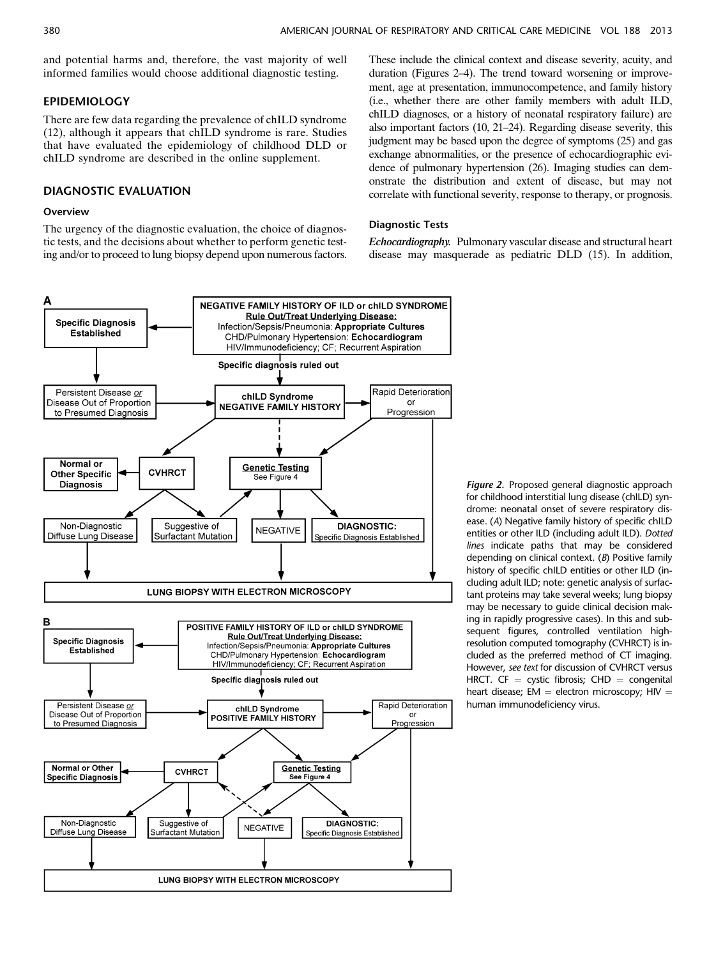and potential harms and, therefore, the vast majority of well informed families would choose additional diagnostic testing.

#### EPIDEMIOLOGY

There are few data regarding the prevalence of chILD syndrome (12), although it appears that chILD syndrome is rare. Studies that have evaluated the epidemiology of childhood DLD or chILD syndrome are described in the online supplement.

# DIAGNOSTIC EVALUATION

#### **Overview**

The urgency of the diagnostic evaluation, the choice of diagnostic tests, and the decisions about whether to perform genetic testing and/or to proceed to lung biopsy depend upon numerous factors. These include the clinical context and disease severity, acuity, and duration (Figures 2–4). The trend toward worsening or improvement, age at presentation, immunocompetence, and family history (i.e., whether there are other family members with adult ILD, chILD diagnoses, or a history of neonatal respiratory failure) are also important factors (10, 21–24). Regarding disease severity, this judgment may be based upon the degree of symptoms (25) and gas exchange abnormalities, or the presence of echocardiographic evidence of pulmonary hypertension (26). Imaging studies can demonstrate the distribution and extent of disease, but may not correlate with functional severity, response to therapy, or prognosis.

## Diagnostic Tests

Echocardiography. Pulmonary vascular disease and structural heart disease may masquerade as pediatric DLD (15). In addition,



Figure 2. Proposed general diagnostic approach for childhood interstitial lung disease (chILD) syndrome: neonatal onset of severe respiratory disease. (A) Negative family history of specific chILD entities or other ILD (including adult ILD). Dotted lines indicate paths that may be considered depending on clinical context. (B) Positive family history of specific chILD entities or other ILD (including adult ILD; note: genetic analysis of surfactant proteins may take several weeks; lung biopsy may be necessary to guide clinical decision making in rapidly progressive cases). In this and subsequent figures, controlled ventilation highresolution computed tomography (CVHRCT) is included as the preferred method of CT imaging. However, see text for discussion of CVHRCT versus HRCT. CF = cystic fibrosis; CHD = congenital heart disease;  $EM =$  electron microscopy;  $HIV =$ human immunodeficiency virus.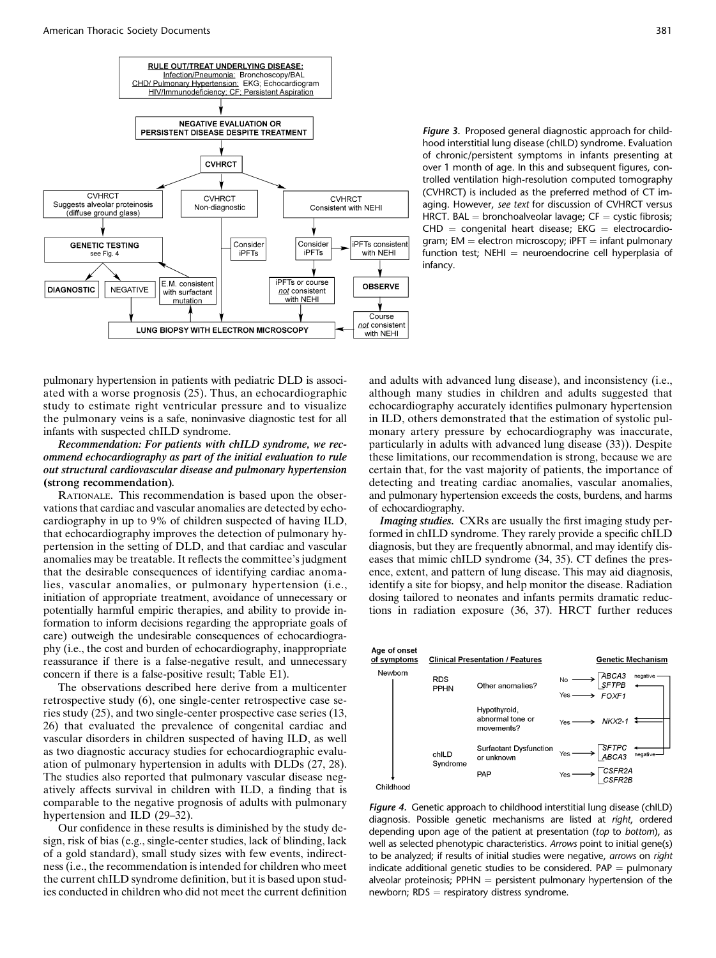

pulmonary hypertension in patients with pediatric DLD is associated with a worse prognosis (25). Thus, an echocardiographic study to estimate right ventricular pressure and to visualize the pulmonary veins is a safe, noninvasive diagnostic test for all infants with suspected chILD syndrome.

Recommendation: For patients with chILD syndrome, we recommend echocardiography as part of the initial evaluation to rule out structural cardiovascular disease and pulmonary hypertension (strong recommendation).

RATIONALE. This recommendation is based upon the observations that cardiac and vascular anomalies are detected by echocardiography in up to 9% of children suspected of having ILD, that echocardiography improves the detection of pulmonary hypertension in the setting of DLD, and that cardiac and vascular anomalies may be treatable. It reflects the committee's judgment that the desirable consequences of identifying cardiac anomalies, vascular anomalies, or pulmonary hypertension (i.e., initiation of appropriate treatment, avoidance of unnecessary or potentially harmful empiric therapies, and ability to provide information to inform decisions regarding the appropriate goals of care) outweigh the undesirable consequences of echocardiography (i.e., the cost and burden of echocardiography, inappropriate reassurance if there is a false-negative result, and unnecessary concern if there is a false-positive result; Table E1).

The observations described here derive from a multicenter retrospective study (6), one single-center retrospective case series study (25), and two single-center prospective case series (13, 26) that evaluated the prevalence of congenital cardiac and vascular disorders in children suspected of having ILD, as well as two diagnostic accuracy studies for echocardiographic evaluation of pulmonary hypertension in adults with DLDs (27, 28). The studies also reported that pulmonary vascular disease negatively affects survival in children with ILD, a finding that is comparable to the negative prognosis of adults with pulmonary hypertension and ILD (29–32).

Our confidence in these results is diminished by the study design, risk of bias (e.g., single-center studies, lack of blinding, lack of a gold standard), small study sizes with few events, indirectness (i.e., the recommendation is intended for children who meet the current chILD syndrome definition, but it is based upon studies conducted in children who did not meet the current definition

Figure 3. Proposed general diagnostic approach for childhood interstitial lung disease (chILD) syndrome. Evaluation of chronic/persistent symptoms in infants presenting at over 1 month of age. In this and subsequent figures, controlled ventilation high-resolution computed tomography (CVHRCT) is included as the preferred method of CT imaging. However, see text for discussion of CVHRCT versus HRCT. BAL = bronchoalveolar lavage;  $CF =$  cystic fibrosis;  $CHD =$  congenital heart disease; EKG = electrocardiogram;  $EM =$  electron microscopy;  $iPT =$  infant pulmonary function test; NEHI = neuroendocrine cell hyperplasia of infancy.

and adults with advanced lung disease), and inconsistency (i.e., although many studies in children and adults suggested that echocardiography accurately identifies pulmonary hypertension in ILD, others demonstrated that the estimation of systolic pulmonary artery pressure by echocardiography was inaccurate, particularly in adults with advanced lung disease (33)). Despite these limitations, our recommendation is strong, because we are certain that, for the vast majority of patients, the importance of detecting and treating cardiac anomalies, vascular anomalies, and pulmonary hypertension exceeds the costs, burdens, and harms of echocardiography.

Imaging studies. CXRs are usually the first imaging study performed in chILD syndrome. They rarely provide a specific chILD diagnosis, but they are frequently abnormal, and may identify diseases that mimic chILD syndrome (34, 35). CT defines the presence, extent, and pattern of lung disease. This may aid diagnosis, identify a site for biopsy, and help monitor the disease. Radiation dosing tailored to neonates and infants permits dramatic reductions in radiation exposure (36, 37). HRCT further reduces



Figure 4. Genetic approach to childhood interstitial lung disease (chILD) diagnosis. Possible genetic mechanisms are listed at right, ordered depending upon age of the patient at presentation (top to bottom), as well as selected phenotypic characteristics. Arrows point to initial gene(s) to be analyzed; if results of initial studies were negative, arrows on right indicate additional genetic studies to be considered.  $PAP =$  pulmonary alveolar proteinosis;  $PPHN =$  persistent pulmonary hypertension of the newborn;  $RDS =$  respiratory distress syndrome.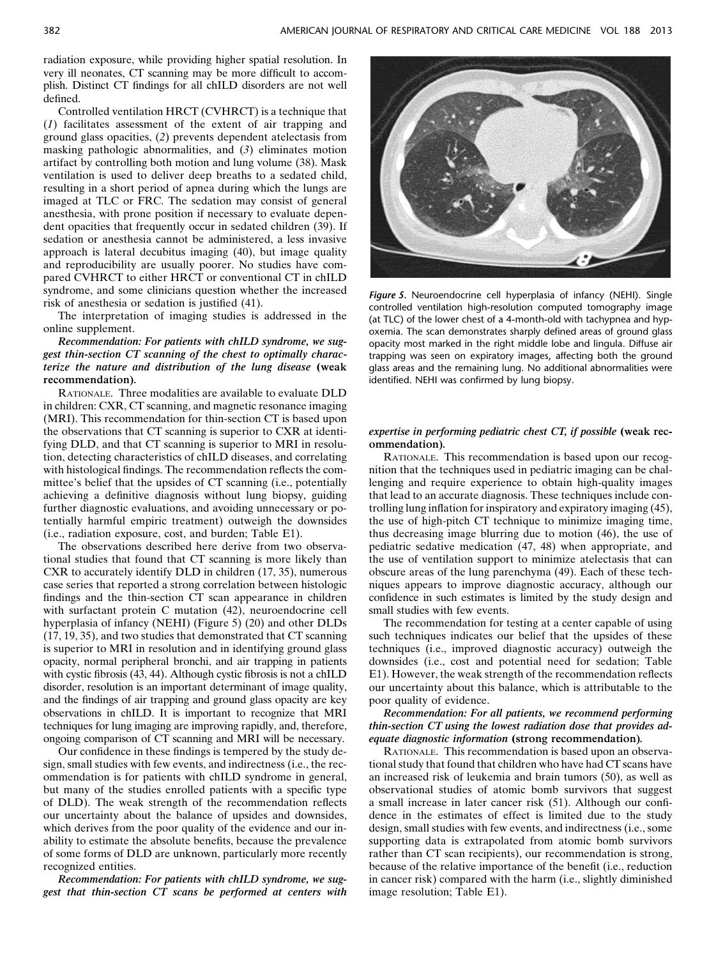radiation exposure, while providing higher spatial resolution. In very ill neonates, CT scanning may be more difficult to accomplish. Distinct CT findings for all chILD disorders are not well defined.

Controlled ventilation HRCT (CVHRCT) is a technique that (1) facilitates assessment of the extent of air trapping and ground glass opacities, (2) prevents dependent atelectasis from masking pathologic abnormalities, and (3) eliminates motion artifact by controlling both motion and lung volume (38). Mask ventilation is used to deliver deep breaths to a sedated child, resulting in a short period of apnea during which the lungs are imaged at TLC or FRC. The sedation may consist of general anesthesia, with prone position if necessary to evaluate dependent opacities that frequently occur in sedated children (39). If sedation or anesthesia cannot be administered, a less invasive approach is lateral decubitus imaging (40), but image quality and reproducibility are usually poorer. No studies have compared CVHRCT to either HRCT or conventional CT in chILD syndrome, and some clinicians question whether the increased risk of anesthesia or sedation is justified (41).

The interpretation of imaging studies is addressed in the online supplement.

# Recommendation: For patients with chILD syndrome, we suggest thin-section CT scanning of the chest to optimally characterize the nature and distribution of the lung disease (weak recommendation).

RATIONALE. Three modalities are available to evaluate DLD in children: CXR, CT scanning, and magnetic resonance imaging (MRI). This recommendation for thin-section CT is based upon the observations that CT scanning is superior to CXR at identifying DLD, and that CT scanning is superior to MRI in resolution, detecting characteristics of chILD diseases, and correlating with histological findings. The recommendation reflects the committee's belief that the upsides of CT scanning (i.e., potentially achieving a definitive diagnosis without lung biopsy, guiding further diagnostic evaluations, and avoiding unnecessary or potentially harmful empiric treatment) outweigh the downsides (i.e., radiation exposure, cost, and burden; Table E1).

The observations described here derive from two observational studies that found that CT scanning is more likely than CXR to accurately identify DLD in children (17, 35), numerous case series that reported a strong correlation between histologic findings and the thin-section CT scan appearance in children with surfactant protein C mutation (42), neuroendocrine cell hyperplasia of infancy (NEHI) (Figure 5) (20) and other DLDs (17, 19, 35), and two studies that demonstrated that CT scanning is superior to MRI in resolution and in identifying ground glass opacity, normal peripheral bronchi, and air trapping in patients with cystic fibrosis (43, 44). Although cystic fibrosis is not a chILD disorder, resolution is an important determinant of image quality, and the findings of air trapping and ground glass opacity are key observations in chILD. It is important to recognize that MRI techniques for lung imaging are improving rapidly, and, therefore, ongoing comparison of CT scanning and MRI will be necessary.

Our confidence in these findings is tempered by the study design, small studies with few events, and indirectness (i.e., the recommendation is for patients with chILD syndrome in general, but many of the studies enrolled patients with a specific type of DLD). The weak strength of the recommendation reflects our uncertainty about the balance of upsides and downsides, which derives from the poor quality of the evidence and our inability to estimate the absolute benefits, because the prevalence of some forms of DLD are unknown, particularly more recently recognized entities.

Recommendation: For patients with chILD syndrome, we suggest that thin-section CT scans be performed at centers with



Figure 5. Neuroendocrine cell hyperplasia of infancy (NEHI). Single controlled ventilation high-resolution computed tomography image (at TLC) of the lower chest of a 4-month-old with tachypnea and hypoxemia. The scan demonstrates sharply defined areas of ground glass opacity most marked in the right middle lobe and lingula. Diffuse air trapping was seen on expiratory images, affecting both the ground glass areas and the remaining lung. No additional abnormalities were identified. NEHI was confirmed by lung biopsy.

## expertise in performing pediatric chest CT, if possible (weak recommendation).

RATIONALE. This recommendation is based upon our recognition that the techniques used in pediatric imaging can be challenging and require experience to obtain high-quality images that lead to an accurate diagnosis. These techniques include controlling lung inflation for inspiratory and expiratory imaging (45), the use of high-pitch CT technique to minimize imaging time, thus decreasing image blurring due to motion (46), the use of pediatric sedative medication (47, 48) when appropriate, and the use of ventilation support to minimize atelectasis that can obscure areas of the lung parenchyma (49). Each of these techniques appears to improve diagnostic accuracy, although our confidence in such estimates is limited by the study design and small studies with few events.

The recommendation for testing at a center capable of using such techniques indicates our belief that the upsides of these techniques (i.e., improved diagnostic accuracy) outweigh the downsides (i.e., cost and potential need for sedation; Table E1). However, the weak strength of the recommendation reflects our uncertainty about this balance, which is attributable to the poor quality of evidence.

## Recommendation: For all patients, we recommend performing thin-section CT using the lowest radiation dose that provides adequate diagnostic information (strong recommendation).

RATIONALE. This recommendation is based upon an observational study that found that children who have had CT scans have an increased risk of leukemia and brain tumors (50), as well as observational studies of atomic bomb survivors that suggest a small increase in later cancer risk (51). Although our confidence in the estimates of effect is limited due to the study design, small studies with few events, and indirectness (i.e., some supporting data is extrapolated from atomic bomb survivors rather than CT scan recipients), our recommendation is strong, because of the relative importance of the benefit (i.e., reduction in cancer risk) compared with the harm (i.e., slightly diminished image resolution; Table E1).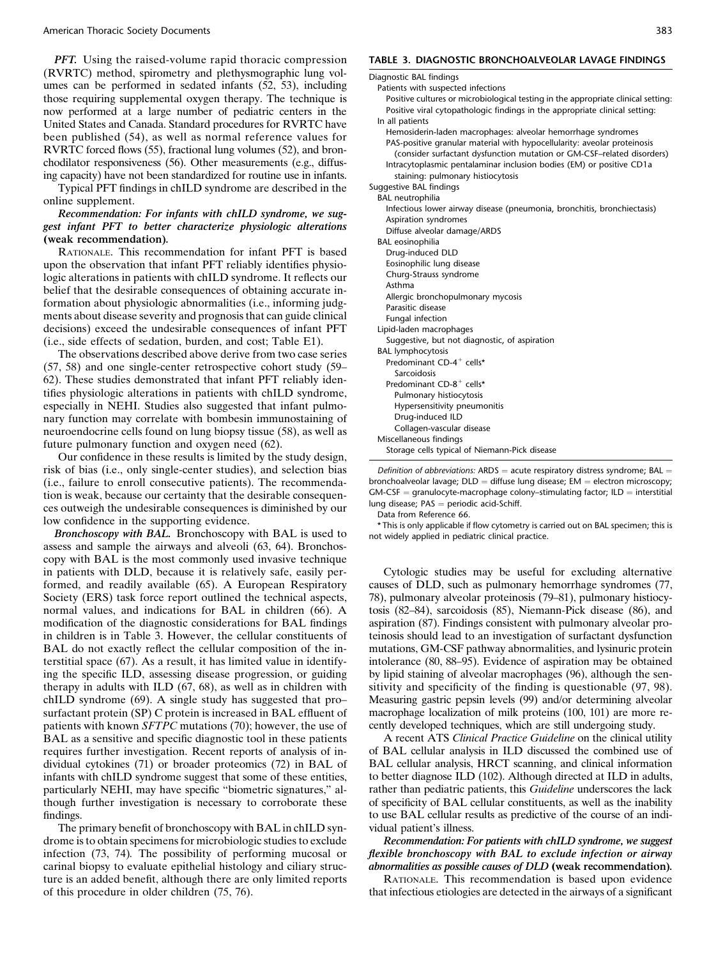PFT. Using the raised-volume rapid thoracic compression (RVRTC) method, spirometry and plethysmographic lung volumes can be performed in sedated infants (52, 53), including those requiring supplemental oxygen therapy. The technique is now performed at a large number of pediatric centers in the United States and Canada. Standard procedures for RVRTC have been published (54), as well as normal reference values for RVRTC forced flows (55), fractional lung volumes (52), and bronchodilator responsiveness (56). Other measurements (e.g., diffusing capacity) have not been standardized for routine use in infants.

Typical PFT findings in chILD syndrome are described in the online supplement.

## Recommendation: For infants with chILD syndrome, we suggest infant PFT to better characterize physiologic alterations (weak recommendation).

RATIONALE. This recommendation for infant PFT is based upon the observation that infant PFT reliably identifies physiologic alterations in patients with chILD syndrome. It reflects our belief that the desirable consequences of obtaining accurate information about physiologic abnormalities (i.e., informing judgments about disease severity and prognosis that can guide clinical decisions) exceed the undesirable consequences of infant PFT (i.e., side effects of sedation, burden, and cost; Table E1).

The observations described above derive from two case series (57, 58) and one single-center retrospective cohort study (59– 62). These studies demonstrated that infant PFT reliably identifies physiologic alterations in patients with chILD syndrome, especially in NEHI. Studies also suggested that infant pulmonary function may correlate with bombesin immunostaining of neuroendocrine cells found on lung biopsy tissue (58), as well as future pulmonary function and oxygen need (62).

Our confidence in these results is limited by the study design, risk of bias (i.e., only single-center studies), and selection bias (i.e., failure to enroll consecutive patients). The recommendation is weak, because our certainty that the desirable consequences outweigh the undesirable consequences is diminished by our low confidence in the supporting evidence.

Bronchoscopy with BAL. Bronchoscopy with BAL is used to assess and sample the airways and alveoli (63, 64). Bronchoscopy with BAL is the most commonly used invasive technique in patients with DLD, because it is relatively safe, easily performed, and readily available (65). A European Respiratory Society (ERS) task force report outlined the technical aspects, normal values, and indications for BAL in children (66). A modification of the diagnostic considerations for BAL findings in children is in Table 3. However, the cellular constituents of BAL do not exactly reflect the cellular composition of the interstitial space (67). As a result, it has limited value in identifying the specific ILD, assessing disease progression, or guiding therapy in adults with ILD (67, 68), as well as in children with chILD syndrome (69). A single study has suggested that pro– surfactant protein (SP) C protein is increased in BAL effluent of patients with known SFTPC mutations (70); however, the use of BAL as a sensitive and specific diagnostic tool in these patients requires further investigation. Recent reports of analysis of individual cytokines (71) or broader proteomics (72) in BAL of infants with chILD syndrome suggest that some of these entities, particularly NEHI, may have specific "biometric signatures," although further investigation is necessary to corroborate these findings.

The primary benefit of bronchoscopy with BAL in chILD syndrome is to obtain specimens for microbiologic studies to exclude infection (73, 74). The possibility of performing mucosal or carinal biopsy to evaluate epithelial histology and ciliary structure is an added benefit, although there are only limited reports of this procedure in older children (75, 76).

# TABLE 3. DIAGNOSTIC BRONCHOALVEOLAR LAVAGE FINDINGS

Diagnostic BAL findings Patients with suspected infections Positive cultures or microbiological testing in the appropriate clinical setting: Positive viral cytopathologic findings in the appropriate clinical setting: In all patients

Hemosiderin-laden macrophages: alveolar hemorrhage syndromes PAS-positive granular material with hypocellularity: aveolar proteinosis (consider surfactant dysfunction mutation or GM-CSF–related disorders) Intracytoplasmic pentalaminar inclusion bodies (EM) or positive CD1a staining: pulmonary histiocytosis

Suggestive BAL findings

BAL neutrophilia

Infectious lower airway disease (pneumonia, bronchitis, bronchiectasis) Aspiration syndromes Diffuse alveolar damage/ARDS

BAL eosinophilia

Drug-induced DLD

Eosinophilic lung disease

Churg-Strauss syndrome

Asthma

Allergic bronchopulmonary mycosis Parasitic disease

Fungal infection

Lipid-laden macrophages

Suggestive, but not diagnostic, of aspiration

BAL lymphocytosis Predominant  $CD-4^+$  cells\*

Sarcoidosis Predominant  $CD-8^+$  cells\* Pulmonary histiocytosis Hypersensitivity pneumonitis Drug-induced ILD

Collagen-vascular disease

Storage cells typical of Niemann-Pick disease

Definition of abbreviations: ARDS = acute respiratory distress syndrome;  $BAL =$ bronchoalveolar lavage;  $DLD =$  diffuse lung disease;  $EM =$  electron microscopy;  $GM-CSF =$  granulocyte-macrophage colony–stimulating factor; ILD  $=$  interstitial lung disease;  $PAS =$  periodic acid-Schiff.

Data from Reference 66.

\* This is only applicable if flow cytometry is carried out on BAL specimen; this is not widely applied in pediatric clinical practice.

Cytologic studies may be useful for excluding alternative causes of DLD, such as pulmonary hemorrhage syndromes (77, 78), pulmonary alveolar proteinosis (79–81), pulmonary histiocytosis (82–84), sarcoidosis (85), Niemann-Pick disease (86), and aspiration (87). Findings consistent with pulmonary alveolar proteinosis should lead to an investigation of surfactant dysfunction mutations, GM-CSF pathway abnormalities, and lysinuric protein intolerance (80, 88–95). Evidence of aspiration may be obtained by lipid staining of alveolar macrophages (96), although the sensitivity and specificity of the finding is questionable (97, 98). Measuring gastric pepsin levels (99) and/or determining alveolar macrophage localization of milk proteins (100, 101) are more recently developed techniques, which are still undergoing study.

A recent ATS Clinical Practice Guideline on the clinical utility of BAL cellular analysis in ILD discussed the combined use of BAL cellular analysis, HRCT scanning, and clinical information to better diagnose ILD (102). Although directed at ILD in adults, rather than pediatric patients, this Guideline underscores the lack of specificity of BAL cellular constituents, as well as the inability to use BAL cellular results as predictive of the course of an individual patient's illness.

Recommendation: For patients with chILD syndrome, we suggest flexible bronchoscopy with BAL to exclude infection or airway abnormalities as possible causes of DLD (weak recommendation).

RATIONALE. This recommendation is based upon evidence that infectious etiologies are detected in the airways of a significant

Miscellaneous findings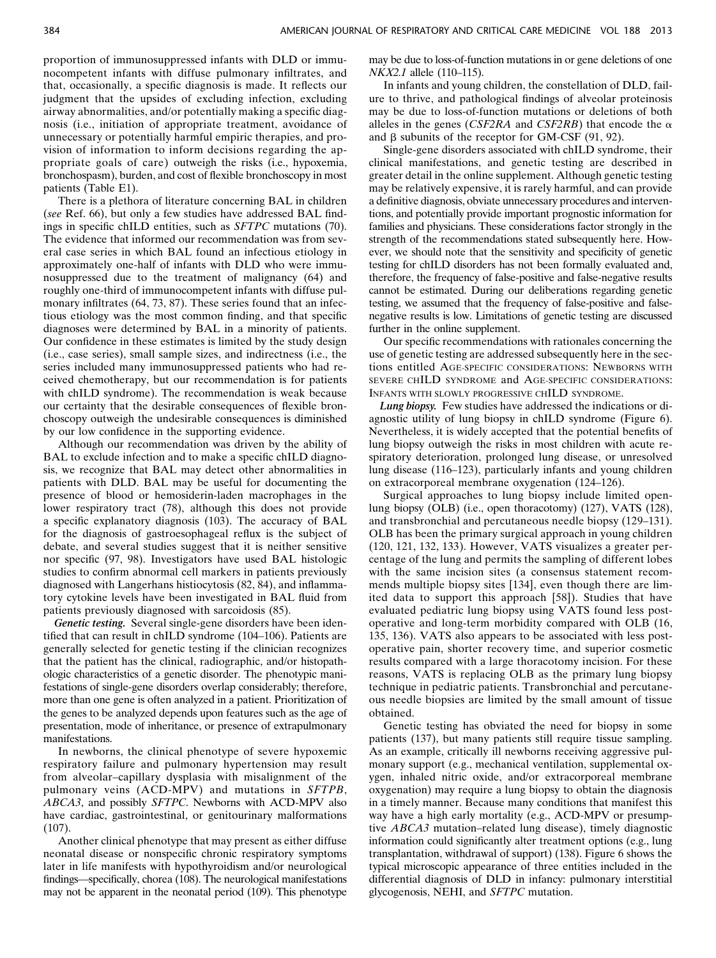proportion of immunosuppressed infants with DLD or immunocompetent infants with diffuse pulmonary infiltrates, and that, occasionally, a specific diagnosis is made. It reflects our judgment that the upsides of excluding infection, excluding airway abnormalities, and/or potentially making a specific diagnosis (i.e., initiation of appropriate treatment, avoidance of unnecessary or potentially harmful empiric therapies, and provision of information to inform decisions regarding the appropriate goals of care) outweigh the risks (i.e., hypoxemia, bronchospasm), burden, and cost of flexible bronchoscopy in most patients (Table E1).

There is a plethora of literature concerning BAL in children (see Ref. 66), but only a few studies have addressed BAL findings in specific chILD entities, such as SFTPC mutations (70). The evidence that informed our recommendation was from several case series in which BAL found an infectious etiology in approximately one-half of infants with DLD who were immunosuppressed due to the treatment of malignancy (64) and roughly one-third of immunocompetent infants with diffuse pulmonary infiltrates (64, 73, 87). These series found that an infectious etiology was the most common finding, and that specific diagnoses were determined by BAL in a minority of patients. Our confidence in these estimates is limited by the study design (i.e., case series), small sample sizes, and indirectness (i.e., the series included many immunosuppressed patients who had received chemotherapy, but our recommendation is for patients with chILD syndrome). The recommendation is weak because our certainty that the desirable consequences of flexible bronchoscopy outweigh the undesirable consequences is diminished by our low confidence in the supporting evidence.

Although our recommendation was driven by the ability of BAL to exclude infection and to make a specific chILD diagnosis, we recognize that BAL may detect other abnormalities in patients with DLD. BAL may be useful for documenting the presence of blood or hemosiderin-laden macrophages in the lower respiratory tract (78), although this does not provide a specific explanatory diagnosis (103). The accuracy of BAL for the diagnosis of gastroesophageal reflux is the subject of debate, and several studies suggest that it is neither sensitive nor specific (97, 98). Investigators have used BAL histologic studies to confirm abnormal cell markers in patients previously diagnosed with Langerhans histiocytosis (82, 84), and inflammatory cytokine levels have been investigated in BAL fluid from patients previously diagnosed with sarcoidosis (85).

Genetic testing. Several single-gene disorders have been identified that can result in chILD syndrome (104–106). Patients are generally selected for genetic testing if the clinician recognizes that the patient has the clinical, radiographic, and/or histopathologic characteristics of a genetic disorder. The phenotypic manifestations of single-gene disorders overlap considerably; therefore, more than one gene is often analyzed in a patient. Prioritization of the genes to be analyzed depends upon features such as the age of presentation, mode of inheritance, or presence of extrapulmonary manifestations.

In newborns, the clinical phenotype of severe hypoxemic respiratory failure and pulmonary hypertension may result from alveolar–capillary dysplasia with misalignment of the pulmonary veins (ACD-MPV) and mutations in SFTPB, ABCA3, and possibly SFTPC. Newborns with ACD-MPV also have cardiac, gastrointestinal, or genitourinary malformations (107).

Another clinical phenotype that may present as either diffuse neonatal disease or nonspecific chronic respiratory symptoms later in life manifests with hypothyroidism and/or neurological findings—specifically, chorea (108). The neurological manifestations may not be apparent in the neonatal period (109). This phenotype may be due to loss-of-function mutations in or gene deletions of one NKX2.1 allele (110–115).

In infants and young children, the constellation of DLD, failure to thrive, and pathological findings of alveolar proteinosis may be due to loss-of-function mutations or deletions of both alleles in the genes (CSF2RA and CSF2RB) that encode the  $\alpha$ and  $\beta$  subunits of the receptor for GM-CSF (91, 92).

Single-gene disorders associated with chILD syndrome, their clinical manifestations, and genetic testing are described in greater detail in the online supplement. Although genetic testing may be relatively expensive, it is rarely harmful, and can provide a definitive diagnosis, obviate unnecessary procedures and interventions, and potentially provide important prognostic information for families and physicians. These considerations factor strongly in the strength of the recommendations stated subsequently here. However, we should note that the sensitivity and specificity of genetic testing for chILD disorders has not been formally evaluated and, therefore, the frequency of false-positive and false-negative results cannot be estimated. During our deliberations regarding genetic testing, we assumed that the frequency of false-positive and falsenegative results is low. Limitations of genetic testing are discussed further in the online supplement.

Our specific recommendations with rationales concerning the use of genetic testing are addressed subsequently here in the sections entitled AGE-SPECIFIC CONSIDERATIONS: NEWBORNS WITH SEVERE CHILD SYNDROME and AGE-SPECIFIC CONSIDERATIONS: INFANTS WITH SLOWLY PROGRESSIVE CHILD SYNDROME.

Lung biopsy. Few studies have addressed the indications or diagnostic utility of lung biopsy in chILD syndrome (Figure 6). Nevertheless, it is widely accepted that the potential benefits of lung biopsy outweigh the risks in most children with acute respiratory deterioration, prolonged lung disease, or unresolved lung disease (116–123), particularly infants and young children on extracorporeal membrane oxygenation (124–126).

Surgical approaches to lung biopsy include limited openlung biopsy (OLB) (i.e., open thoracotomy) (127), VATS (128), and transbronchial and percutaneous needle biopsy (129–131). OLB has been the primary surgical approach in young children (120, 121, 132, 133). However, VATS visualizes a greater percentage of the lung and permits the sampling of different lobes with the same incision sites (a consensus statement recommends multiple biopsy sites [134], even though there are limited data to support this approach [58]). Studies that have evaluated pediatric lung biopsy using VATS found less postoperative and long-term morbidity compared with OLB (16, 135, 136). VATS also appears to be associated with less postoperative pain, shorter recovery time, and superior cosmetic results compared with a large thoracotomy incision. For these reasons, VATS is replacing OLB as the primary lung biopsy technique in pediatric patients. Transbronchial and percutaneous needle biopsies are limited by the small amount of tissue obtained.

Genetic testing has obviated the need for biopsy in some patients (137), but many patients still require tissue sampling. As an example, critically ill newborns receiving aggressive pulmonary support (e.g., mechanical ventilation, supplemental oxygen, inhaled nitric oxide, and/or extracorporeal membrane oxygenation) may require a lung biopsy to obtain the diagnosis in a timely manner. Because many conditions that manifest this way have a high early mortality (e.g., ACD-MPV or presumptive ABCA3 mutation–related lung disease), timely diagnostic information could significantly alter treatment options (e.g., lung transplantation, withdrawal of support) (138). Figure 6 shows the typical microscopic appearance of three entities included in the differential diagnosis of DLD in infancy: pulmonary interstitial glycogenosis, NEHI, and SFTPC mutation.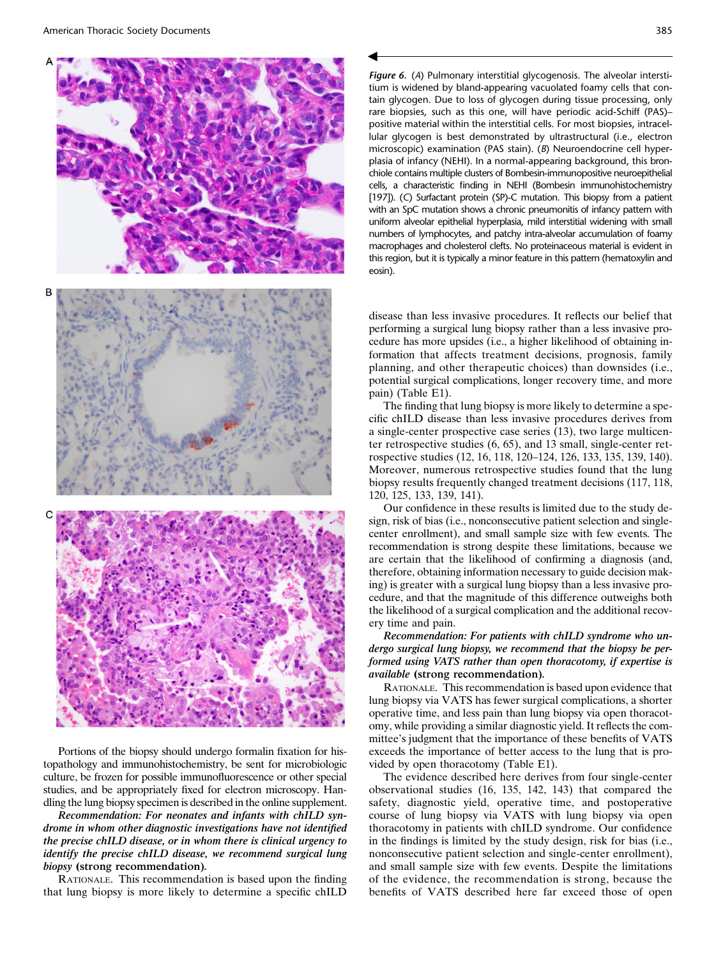

Portions of the biopsy should undergo formalin fixation for histopathology and immunohistochemistry, be sent for microbiologic culture, be frozen for possible immunofluorescence or other special studies, and be appropriately fixed for electron microscopy. Handling the lung biopsy specimen is described in the online supplement.

Recommendation: For neonates and infants with chILD syndrome in whom other diagnostic investigations have not identified the precise chILD disease, or in whom there is clinical urgency to identify the precise chILD disease, we recommend surgical lung biopsy (strong recommendation).

RATIONALE. This recommendation is based upon the finding that lung biopsy is more likely to determine a specific chILD

Figure 6. (A) Pulmonary interstitial glycogenosis. The alveolar interstitium is widened by bland-appearing vacuolated foamy cells that contain glycogen. Due to loss of glycogen during tissue processing, only rare biopsies, such as this one, will have periodic acid-Schiff (PAS)– positive material within the interstitial cells. For most biopsies, intracellular glycogen is best demonstrated by ultrastructural (i.e., electron microscopic) examination (PAS stain). (B) Neuroendocrine cell hyperplasia of infancy (NEHI). In a normal-appearing background, this bronchiole contains multiple clusters of Bombesin-immunopositive neuroepithelial cells, a characteristic finding in NEHI (Bombesin immunohistochemistry [197]). (C) Surfactant protein (SP)-C mutation. This biopsy from a patient with an SpC mutation shows a chronic pneumonitis of infancy pattern with uniform alveolar epithelial hyperplasia, mild interstitial widening with small numbers of lymphocytes, and patchy intra-alveolar accumulation of foamy macrophages and cholesterol clefts. No proteinaceous material is evident in this region, but it is typically a minor feature in this pattern (hematoxylin and eosin).

 $\blacktriangleleft$ 

disease than less invasive procedures. It reflects our belief that performing a surgical lung biopsy rather than a less invasive procedure has more upsides (i.e., a higher likelihood of obtaining information that affects treatment decisions, prognosis, family planning, and other therapeutic choices) than downsides (i.e., potential surgical complications, longer recovery time, and more pain) (Table E1).

The finding that lung biopsy is more likely to determine a specific chILD disease than less invasive procedures derives from a single-center prospective case series (13), two large multicenter retrospective studies (6, 65), and 13 small, single-center retrospective studies (12, 16, 118, 120–124, 126, 133, 135, 139, 140). Moreover, numerous retrospective studies found that the lung biopsy results frequently changed treatment decisions (117, 118, 120, 125, 133, 139, 141).

Our confidence in these results is limited due to the study design, risk of bias (i.e., nonconsecutive patient selection and singlecenter enrollment), and small sample size with few events. The recommendation is strong despite these limitations, because we are certain that the likelihood of confirming a diagnosis (and, therefore, obtaining information necessary to guide decision making) is greater with a surgical lung biopsy than a less invasive procedure, and that the magnitude of this difference outweighs both the likelihood of a surgical complication and the additional recovery time and pain.

Recommendation: For patients with chILD syndrome who undergo surgical lung biopsy, we recommend that the biopsy be performed using VATS rather than open thoracotomy, if expertise is available (strong recommendation).

RATIONALE. This recommendation is based upon evidence that lung biopsy via VATS has fewer surgical complications, a shorter operative time, and less pain than lung biopsy via open thoracotomy, while providing a similar diagnostic yield. It reflects the committee's judgment that the importance of these benefits of VATS exceeds the importance of better access to the lung that is provided by open thoracotomy (Table E1).

The evidence described here derives from four single-center observational studies (16, 135, 142, 143) that compared the safety, diagnostic yield, operative time, and postoperative course of lung biopsy via VATS with lung biopsy via open thoracotomy in patients with chILD syndrome. Our confidence in the findings is limited by the study design, risk for bias (i.e., nonconsecutive patient selection and single-center enrollment), and small sample size with few events. Despite the limitations of the evidence, the recommendation is strong, because the benefits of VATS described here far exceed those of open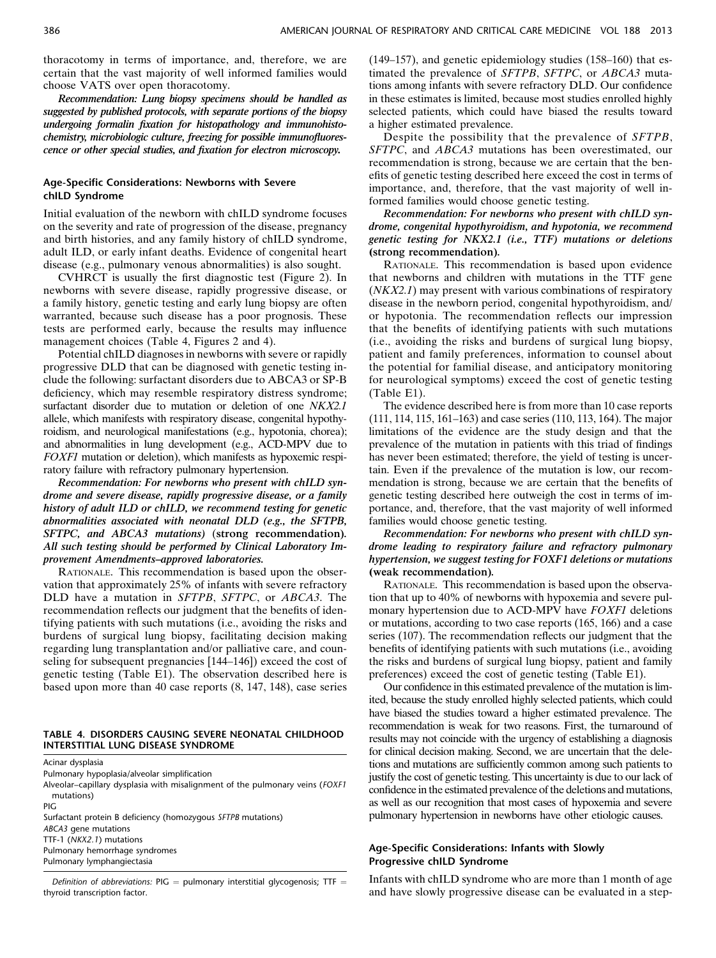thoracotomy in terms of importance, and, therefore, we are certain that the vast majority of well informed families would choose VATS over open thoracotomy.

Recommendation: Lung biopsy specimens should be handled as suggested by published protocols, with separate portions of the biopsy undergoing formalin fixation for histopathology and immunohistochemistry, microbiologic culture, freezing for possible immunofluorescence or other special studies, and fixation for electron microscopy.

## Age-Specific Considerations: Newborns with Severe chILD Syndrome

Initial evaluation of the newborn with chILD syndrome focuses on the severity and rate of progression of the disease, pregnancy and birth histories, and any family history of chILD syndrome, adult ILD, or early infant deaths. Evidence of congenital heart disease (e.g., pulmonary venous abnormalities) is also sought.

CVHRCT is usually the first diagnostic test (Figure 2). In newborns with severe disease, rapidly progressive disease, or a family history, genetic testing and early lung biopsy are often warranted, because such disease has a poor prognosis. These tests are performed early, because the results may influence management choices (Table 4, Figures 2 and 4).

Potential chILD diagnoses in newborns with severe or rapidly progressive DLD that can be diagnosed with genetic testing include the following: surfactant disorders due to ABCA3 or SP-B deficiency, which may resemble respiratory distress syndrome; surfactant disorder due to mutation or deletion of one NKX2.1 allele, which manifests with respiratory disease, congenital hypothyroidism, and neurological manifestations (e.g., hypotonia, chorea); and abnormalities in lung development (e.g., ACD-MPV due to FOXF1 mutation or deletion), which manifests as hypoxemic respiratory failure with refractory pulmonary hypertension.

Recommendation: For newborns who present with chILD syndrome and severe disease, rapidly progressive disease, or a family history of adult ILD or chILD, we recommend testing for genetic abnormalities associated with neonatal DLD (e.g., the SFTPB, SFTPC, and ABCA3 mutations) (strong recommendation). All such testing should be performed by Clinical Laboratory Improvement Amendments–approved laboratories.

RATIONALE. This recommendation is based upon the observation that approximately 25% of infants with severe refractory DLD have a mutation in SFTPB, SFTPC, or ABCA3. The recommendation reflects our judgment that the benefits of identifying patients with such mutations (i.e., avoiding the risks and burdens of surgical lung biopsy, facilitating decision making regarding lung transplantation and/or palliative care, and counseling for subsequent pregnancies [144–146]) exceed the cost of genetic testing (Table E1). The observation described here is based upon more than 40 case reports (8, 147, 148), case series

#### TABLE 4. DISORDERS CAUSING SEVERE NEONATAL CHILDHOOD INTERSTITIAL LUNG DISEASE SYNDROME

Acinar dysplasia

Pulmonary hypoplasia/alveolar simplification

Alveolar–capillary dysplasia with misalignment of the pulmonary veins (FOXF1 mutations) PIG

Surfactant protein B deficiency (homozygous SFTPB mutations) ABCA3 gene mutations TTF-1 (NKX2.1) mutations Pulmonary hemorrhage syndromes Pulmonary lymphangiectasia

Definition of abbreviations: PIG = pulmonary interstitial glycogenosis; TTF = thyroid transcription factor.

(149–157), and genetic epidemiology studies (158–160) that estimated the prevalence of SFTPB, SFTPC, or ABCA3 mutations among infants with severe refractory DLD. Our confidence in these estimates is limited, because most studies enrolled highly selected patients, which could have biased the results toward a higher estimated prevalence.

Despite the possibility that the prevalence of SFTPB, SFTPC, and ABCA3 mutations has been overestimated, our recommendation is strong, because we are certain that the benefits of genetic testing described here exceed the cost in terms of importance, and, therefore, that the vast majority of well informed families would choose genetic testing.

## Recommendation: For newborns who present with chILD syndrome, congenital hypothyroidism, and hypotonia, we recommend genetic testing for NKX2.1 (i.e., TTF) mutations or deletions (strong recommendation).

RATIONALE. This recommendation is based upon evidence that newborns and children with mutations in the TTF gene (NKX2.1) may present with various combinations of respiratory disease in the newborn period, congenital hypothyroidism, and/ or hypotonia. The recommendation reflects our impression that the benefits of identifying patients with such mutations (i.e., avoiding the risks and burdens of surgical lung biopsy, patient and family preferences, information to counsel about the potential for familial disease, and anticipatory monitoring for neurological symptoms) exceed the cost of genetic testing (Table E1).

The evidence described here is from more than 10 case reports (111, 114, 115, 161–163) and case series (110, 113, 164). The major limitations of the evidence are the study design and that the prevalence of the mutation in patients with this triad of findings has never been estimated; therefore, the yield of testing is uncertain. Even if the prevalence of the mutation is low, our recommendation is strong, because we are certain that the benefits of genetic testing described here outweigh the cost in terms of importance, and, therefore, that the vast majority of well informed families would choose genetic testing.

Recommendation: For newborns who present with chILD syndrome leading to respiratory failure and refractory pulmonary hypertension, we suggest testing for FOXF1 deletions or mutations (weak recommendation).

RATIONALE. This recommendation is based upon the observation that up to 40% of newborns with hypoxemia and severe pulmonary hypertension due to ACD-MPV have FOXF1 deletions or mutations, according to two case reports (165, 166) and a case series (107). The recommendation reflects our judgment that the benefits of identifying patients with such mutations (i.e., avoiding the risks and burdens of surgical lung biopsy, patient and family preferences) exceed the cost of genetic testing (Table E1).

Our confidence in this estimated prevalence of the mutation is limited, because the study enrolled highly selected patients, which could have biased the studies toward a higher estimated prevalence. The recommendation is weak for two reasons. First, the turnaround of results may not coincide with the urgency of establishing a diagnosis for clinical decision making. Second, we are uncertain that the deletions and mutations are sufficiently common among such patients to justify the cost of genetic testing. This uncertainty is due to our lack of confidence in the estimated prevalence of the deletions and mutations, as well as our recognition that most cases of hypoxemia and severe pulmonary hypertension in newborns have other etiologic causes.

# Age-Specific Considerations: Infants with Slowly Progressive chILD Syndrome

Infants with chILD syndrome who are more than 1 month of age and have slowly progressive disease can be evaluated in a step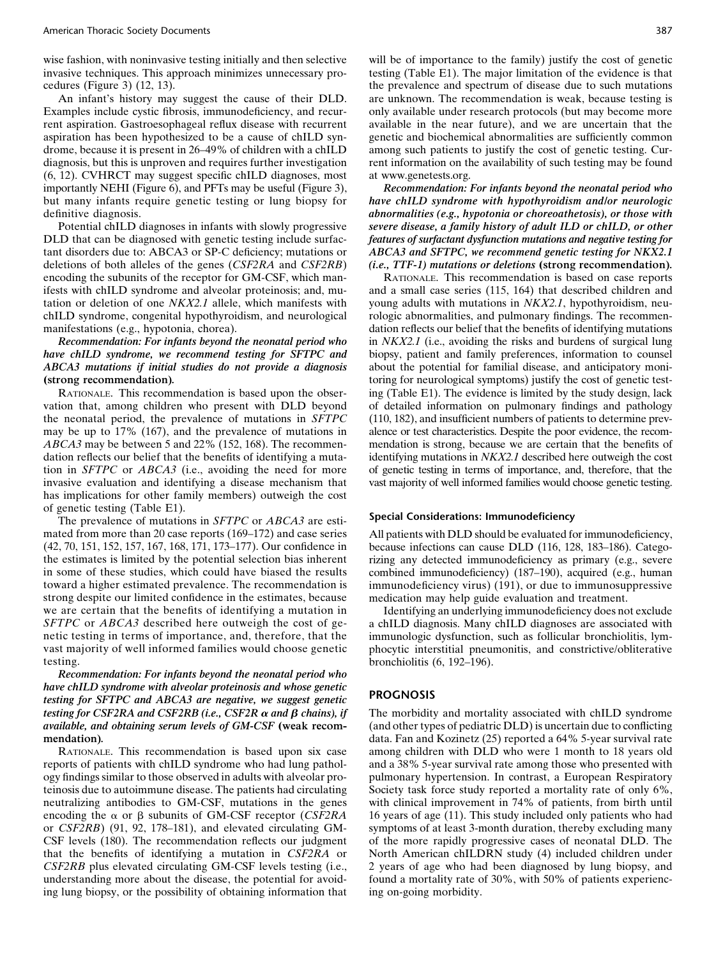wise fashion, with noninvasive testing initially and then selective invasive techniques. This approach minimizes unnecessary procedures (Figure 3) (12, 13).

An infant's history may suggest the cause of their DLD. Examples include cystic fibrosis, immunodeficiency, and recurrent aspiration. Gastroesophageal reflux disease with recurrent aspiration has been hypothesized to be a cause of chILD syndrome, because it is present in 26–49% of children with a chILD diagnosis, but this is unproven and requires further investigation (6, 12). CVHRCT may suggest specific chILD diagnoses, most importantly NEHI (Figure 6), and PFTs may be useful (Figure 3), but many infants require genetic testing or lung biopsy for definitive diagnosis.

Potential chILD diagnoses in infants with slowly progressive DLD that can be diagnosed with genetic testing include surfactant disorders due to: ABCA3 or SP-C deficiency; mutations or deletions of both alleles of the genes (CSF2RA and CSF2RB) encoding the subunits of the receptor for GM-CSF, which manifests with chILD syndrome and alveolar proteinosis; and, mutation or deletion of one NKX2.1 allele, which manifests with chILD syndrome, congenital hypothyroidism, and neurological manifestations (e.g., hypotonia, chorea).

## Recommendation: For infants beyond the neonatal period who have chILD syndrome, we recommend testing for SFTPC and ABCA3 mutations if initial studies do not provide a diagnosis (strong recommendation).

RATIONALE. This recommendation is based upon the observation that, among children who present with DLD beyond the neonatal period, the prevalence of mutations in SFTPC may be up to 17% (167), and the prevalence of mutations in ABCA3 may be between 5 and 22% (152, 168). The recommendation reflects our belief that the benefits of identifying a mutation in SFTPC or ABCA3 (i.e., avoiding the need for more invasive evaluation and identifying a disease mechanism that has implications for other family members) outweigh the cost of genetic testing (Table E1).

The prevalence of mutations in SFTPC or ABCA3 are estimated from more than 20 case reports (169–172) and case series (42, 70, 151, 152, 157, 167, 168, 171, 173–177). Our confidence in the estimates is limited by the potential selection bias inherent in some of these studies, which could have biased the results toward a higher estimated prevalence. The recommendation is strong despite our limited confidence in the estimates, because we are certain that the benefits of identifying a mutation in SFTPC or ABCA3 described here outweigh the cost of genetic testing in terms of importance, and, therefore, that the vast majority of well informed families would choose genetic testing.

Recommendation: For infants beyond the neonatal period who have chILD syndrome with alveolar proteinosis and whose genetic testing for SFTPC and ABCA3 are negative, we suggest genetic testing for CSF2RA and CSF2RB (i.e., CSF2R  $\alpha$  and  $\beta$  chains), if available, and obtaining serum levels of GM-CSF (weak recommendation).

RATIONALE. This recommendation is based upon six case reports of patients with chILD syndrome who had lung pathology findings similar to those observed in adults with alveolar proteinosis due to autoimmune disease. The patients had circulating neutralizing antibodies to GM-CSF, mutations in the genes encoding the  $\alpha$  or  $\beta$  subunits of GM-CSF receptor (CSF2RA or CSF2RB) (91, 92, 178–181), and elevated circulating GM-CSF levels (180). The recommendation reflects our judgment that the benefits of identifying a mutation in CSF2RA or CSF2RB plus elevated circulating GM-CSF levels testing (i.e., understanding more about the disease, the potential for avoiding lung biopsy, or the possibility of obtaining information that will be of importance to the family) justify the cost of genetic testing (Table E1). The major limitation of the evidence is that the prevalence and spectrum of disease due to such mutations are unknown. The recommendation is weak, because testing is only available under research protocols (but may become more available in the near future), and we are uncertain that the genetic and biochemical abnormalities are sufficiently common among such patients to justify the cost of genetic testing. Current information on the availability of such testing may be found at [www.genetests.org.](http://www.genetests.org)

Recommendation: For infants beyond the neonatal period who have chILD syndrome with hypothyroidism and/or neurologic abnormalities (e.g., hypotonia or choreoathetosis), or those with severe disease, a family history of adult ILD or chILD, or other features of surfactant dysfunction mutations and negative testing for ABCA3 and SFTPC, we recommend genetic testing for NKX2.1 (i.e., TTF-1) mutations or deletions (strong recommendation).

RATIONALE. This recommendation is based on case reports and a small case series (115, 164) that described children and young adults with mutations in NKX2.1, hypothyroidism, neurologic abnormalities, and pulmonary findings. The recommendation reflects our belief that the benefits of identifying mutations in NKX2.1 (i.e., avoiding the risks and burdens of surgical lung biopsy, patient and family preferences, information to counsel about the potential for familial disease, and anticipatory monitoring for neurological symptoms) justify the cost of genetic testing (Table E1). The evidence is limited by the study design, lack of detailed information on pulmonary findings and pathology (110, 182), and insufficient numbers of patients to determine prevalence or test characteristics. Despite the poor evidence, the recommendation is strong, because we are certain that the benefits of identifying mutations in NKX2.1 described here outweigh the cost of genetic testing in terms of importance, and, therefore, that the vast majority of well informed families would choose genetic testing.

# Special Considerations: Immunodeficiency

All patients with DLD should be evaluated for immunodeficiency, because infections can cause DLD (116, 128, 183–186). Categorizing any detected immunodeficiency as primary (e.g., severe combined immunodeficiency) (187–190), acquired (e.g., human immunodeficiency virus) (191), or due to immunosuppressive medication may help guide evaluation and treatment.

Identifying an underlying immunodeficiency does not exclude a chILD diagnosis. Many chILD diagnoses are associated with immunologic dysfunction, such as follicular bronchiolitis, lymphocytic interstitial pneumonitis, and constrictive/obliterative bronchiolitis (6, 192–196).

## PROGNOSIS

The morbidity and mortality associated with chILD syndrome (and other types of pediatric DLD) is uncertain due to conflicting data. Fan and Kozinetz (25) reported a 64% 5-year survival rate among children with DLD who were 1 month to 18 years old and a 38% 5-year survival rate among those who presented with pulmonary hypertension. In contrast, a European Respiratory Society task force study reported a mortality rate of only 6%, with clinical improvement in 74% of patients, from birth until 16 years of age (11). This study included only patients who had symptoms of at least 3-month duration, thereby excluding many of the more rapidly progressive cases of neonatal DLD. The North American chILDRN study (4) included children under 2 years of age who had been diagnosed by lung biopsy, and found a mortality rate of 30%, with 50% of patients experiencing on-going morbidity.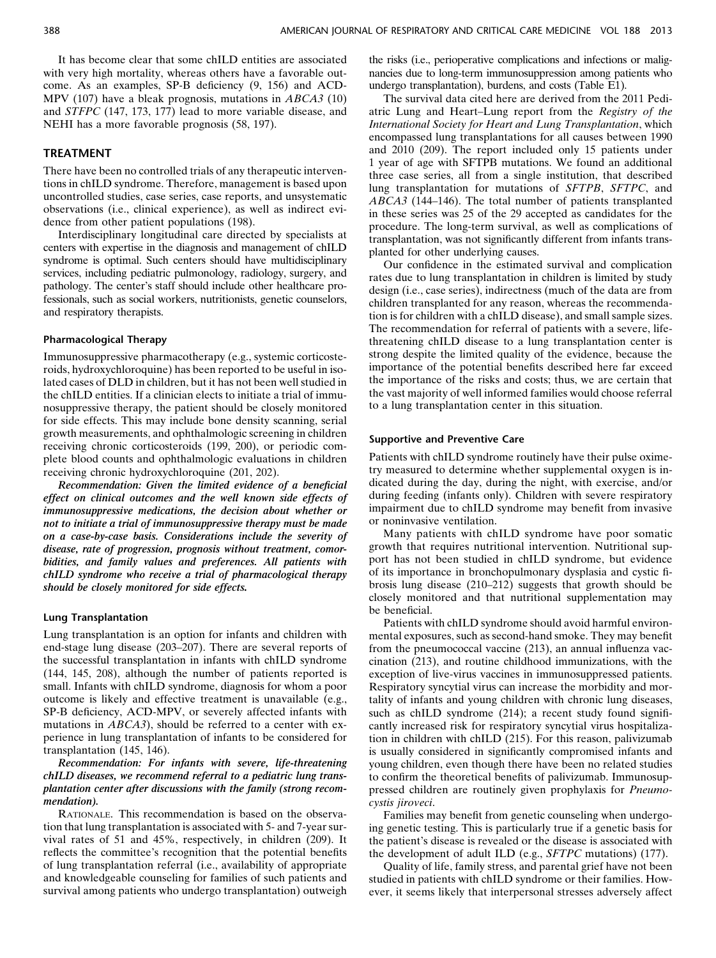It has become clear that some chILD entities are associated with very high mortality, whereas others have a favorable outcome. As an examples, SP-B deficiency (9, 156) and ACD-MPV (107) have a bleak prognosis, mutations in  $ABCA3$  (10) and STFPC (147, 173, 177) lead to more variable disease, and NEHI has a more favorable prognosis (58, 197).

## TREATMENT

There have been no controlled trials of any therapeutic interventions in chILD syndrome. Therefore, management is based upon uncontrolled studies, case series, case reports, and unsystematic observations (i.e., clinical experience), as well as indirect evidence from other patient populations (198).

Interdisciplinary longitudinal care directed by specialists at centers with expertise in the diagnosis and management of chILD syndrome is optimal. Such centers should have multidisciplinary services, including pediatric pulmonology, radiology, surgery, and pathology. The center's staff should include other healthcare professionals, such as social workers, nutritionists, genetic counselors, and respiratory therapists.

#### Pharmacological Therapy

Immunosuppressive pharmacotherapy (e.g., systemic corticosteroids, hydroxychloroquine) has been reported to be useful in isolated cases of DLD in children, but it has not been well studied in the chILD entities. If a clinician elects to initiate a trial of immunosuppressive therapy, the patient should be closely monitored for side effects. This may include bone density scanning, serial growth measurements, and ophthalmologic screening in children receiving chronic corticosteroids (199, 200), or periodic complete blood counts and ophthalmologic evaluations in children receiving chronic hydroxychloroquine (201, 202).

Recommendation: Given the limited evidence of a beneficial effect on clinical outcomes and the well known side effects of immunosuppressive medications, the decision about whether or not to initiate a trial of immunosuppressive therapy must be made on a case-by-case basis. Considerations include the severity of disease, rate of progression, prognosis without treatment, comorbidities, and family values and preferences. All patients with chILD syndrome who receive a trial of pharmacological therapy should be closely monitored for side effects.

#### Lung Transplantation

Lung transplantation is an option for infants and children with end-stage lung disease (203–207). There are several reports of the successful transplantation in infants with chILD syndrome (144, 145, 208), although the number of patients reported is small. Infants with chILD syndrome, diagnosis for whom a poor outcome is likely and effective treatment is unavailable (e.g., SP-B deficiency, ACD-MPV, or severely affected infants with mutations in *ABCA3*), should be referred to a center with experience in lung transplantation of infants to be considered for transplantation (145, 146).

Recommendation: For infants with severe, life-threatening chILD diseases, we recommend referral to a pediatric lung transplantation center after discussions with the family (strong recommendation).

RATIONALE. This recommendation is based on the observation that lung transplantation is associated with 5- and 7-year survival rates of 51 and 45%, respectively, in children (209). It reflects the committee's recognition that the potential benefits of lung transplantation referral (i.e., availability of appropriate and knowledgeable counseling for families of such patients and survival among patients who undergo transplantation) outweigh the risks (i.e., perioperative complications and infections or malignancies due to long-term immunosuppression among patients who undergo transplantation), burdens, and costs (Table E1).

The survival data cited here are derived from the 2011 Pediatric Lung and Heart–Lung report from the Registry of the International Society for Heart and Lung Transplantation, which encompassed lung transplantations for all causes between 1990 and 2010 (209). The report included only 15 patients under 1 year of age with SFTPB mutations. We found an additional three case series, all from a single institution, that described lung transplantation for mutations of SFTPB, SFTPC, and ABCA3 (144–146). The total number of patients transplanted in these series was 25 of the 29 accepted as candidates for the procedure. The long-term survival, as well as complications of transplantation, was not significantly different from infants transplanted for other underlying causes.

Our confidence in the estimated survival and complication rates due to lung transplantation in children is limited by study design (i.e., case series), indirectness (much of the data are from children transplanted for any reason, whereas the recommendation is for children with a chILD disease), and small sample sizes. The recommendation for referral of patients with a severe, lifethreatening chILD disease to a lung transplantation center is strong despite the limited quality of the evidence, because the importance of the potential benefits described here far exceed the importance of the risks and costs; thus, we are certain that the vast majority of well informed families would choose referral to a lung transplantation center in this situation.

#### Supportive and Preventive Care

Patients with chILD syndrome routinely have their pulse oximetry measured to determine whether supplemental oxygen is indicated during the day, during the night, with exercise, and/or during feeding (infants only). Children with severe respiratory impairment due to chILD syndrome may benefit from invasive or noninvasive ventilation.

Many patients with chILD syndrome have poor somatic growth that requires nutritional intervention. Nutritional support has not been studied in chILD syndrome, but evidence of its importance in bronchopulmonary dysplasia and cystic fibrosis lung disease (210–212) suggests that growth should be closely monitored and that nutritional supplementation may be beneficial.

Patients with chILD syndrome should avoid harmful environmental exposures, such as second-hand smoke. They may benefit from the pneumococcal vaccine (213), an annual influenza vaccination (213), and routine childhood immunizations, with the exception of live-virus vaccines in immunosuppressed patients. Respiratory syncytial virus can increase the morbidity and mortality of infants and young children with chronic lung diseases, such as chILD syndrome (214); a recent study found significantly increased risk for respiratory syncytial virus hospitalization in children with chILD (215). For this reason, palivizumab is usually considered in significantly compromised infants and young children, even though there have been no related studies to confirm the theoretical benefits of palivizumab. Immunosuppressed children are routinely given prophylaxis for Pneumocystis jiroveci.

Families may benefit from genetic counseling when undergoing genetic testing. This is particularly true if a genetic basis for the patient's disease is revealed or the disease is associated with the development of adult ILD (e.g., SFTPC mutations) (177).

Quality of life, family stress, and parental grief have not been studied in patients with chILD syndrome or their families. However, it seems likely that interpersonal stresses adversely affect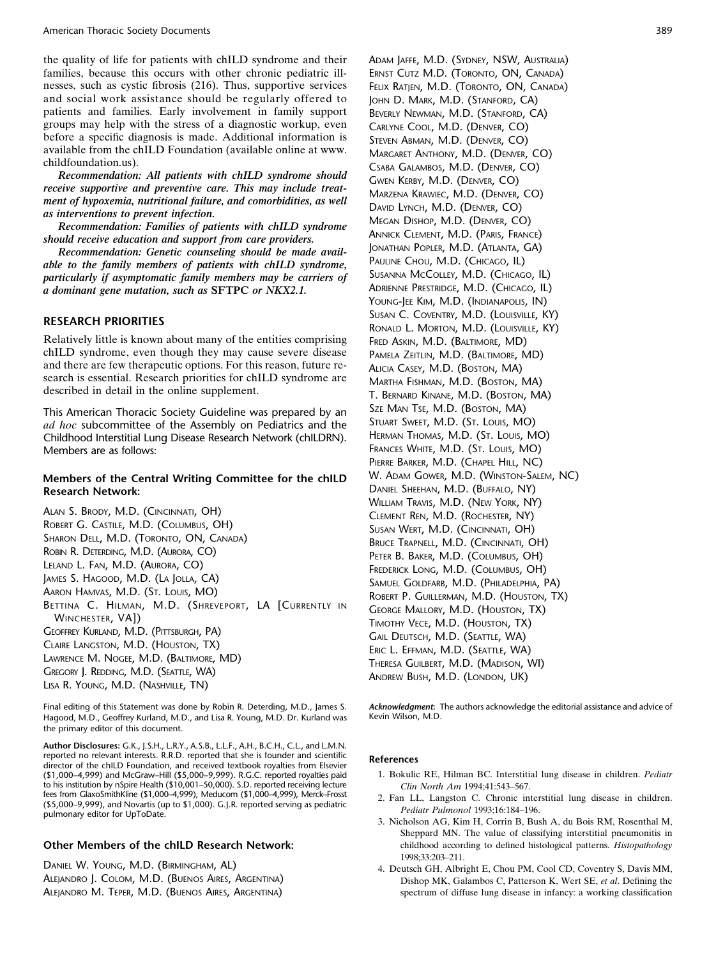the quality of life for patients with chILD syndrome and their families, because this occurs with other chronic pediatric illnesses, such as cystic fibrosis (216). Thus, supportive services and social work assistance should be regularly offered to patients and families. Early involvement in family support groups may help with the stress of a diagnostic workup, even before a specific diagnosis is made. Additional information is available from the chILD Foundation (available online at [www.](http://www.childfoundation.us) [childfoundation.us\)](http://www.childfoundation.us).

Recommendation: All patients with chILD syndrome should receive supportive and preventive care. This may include treatment of hypoxemia, nutritional failure, and comorbidities, as well as interventions to prevent infection.

Recommendation: Families of patients with chILD syndrome should receive education and support from care providers.

Recommendation: Genetic counseling should be made available to the family members of patients with chILD syndrome, particularly if asymptomatic family members may be carriers of a dominant gene mutation, such as SFTPC or NKX2.1.

#### RESEARCH PRIORITIES

Relatively little is known about many of the entities comprising chILD syndrome, even though they may cause severe disease and there are few therapeutic options. For this reason, future research is essential. Research priorities for chILD syndrome are described in detail in the online supplement.

This American Thoracic Society Guideline was prepared by an ad hoc subcommittee of the Assembly on Pediatrics and the Childhood Interstitial Lung Disease Research Network (chILDRN). Members are as follows:

## Members of the Central Writing Committee for the chILD Research Network:

ALAN S. BRODY, M.D. (CINCINNATI, OH) ROBERT G. CASTILE, M.D. (COLUMBUS, OH) SHARON DELL, M.D. (TORONTO, ON, CANADA) ROBIN R. DETERDING, M.D. (AURORA, CO) LELAND L. FAN, M.D. (AURORA, CO) JAMES S. HAGOOD, M.D. (LA JOLLA, CA) AARON HAMVAS, M.D. (ST. LOUIS, MO) BETTINA C. HILMAN, M.D. (SHREVEPORT, LA [CURRENTLY IN WINCHESTER, VA]) GEOFFREY KURLAND, M.D. (PITTSBURGH, PA) CLAIRE LANGSTON, M.D. (HOUSTON, TX) LAWRENCE M. NOGEE, M.D. (BALTIMORE, MD) GREGORY J. REDDING, M.D. (SEATTLE, WA) LISA R. YOUNG, M.D. (NASHVILLE, TN)

Final editing of this Statement was done by Robin R. Deterding, M.D., James S. Hagood, M.D., Geoffrey Kurland, M.D., and Lisa R. Young, M.D. Dr. Kurland was the primary editor of this document.

Author Disclosures: G.K., J.S.H., L.R.Y., A.S.B., L.L.F., A.H., B.C.H., C.L., and L.M.N. reported no relevant interests. R.R.D. reported that she is founder and scientific director of the chILD Foundation, and received textbook royalties from Elsevier (\$1,000–4,999) and McGraw–Hill (\$5,000–9,999). R.G.C. reported royalties paid to his institution by nSpire Health (\$10,001–50,000). S.D. reported receiving lecture fees from GlaxoSmithKline (\$1,000–4,999), Meducom (\$1,000–4,999), Merck–Frosst (\$5,000–9,999), and Novartis (up to \$1,000). G.J.R. reported serving as pediatric pulmonary editor for UpToDate.

#### Other Members of the chILD Research Network:

DANIEL W. YOUNG, M.D. (BIRMINGHAM, AL) ALEJANDRO J. COLOM, M.D. (BUENOS AIRES, ARGENTINA) ALEJANDRO M. TEPER, M.D. (BUENOS AIRES, ARGENTINA)

ADAM JAFFE, M.D. (SYDNEY, NSW, AUSTRALIA) ERNST CUTZ M.D. (TORONTO, ON, CANADA) FELIX RATJEN, M.D. (TORONTO, ON, CANADA) JOHN D. MARK, M.D. (STANFORD, CA) BEVERLY NEWMAN, M.D. (STANFORD, CA) CARLYNE COOL, M.D. (DENVER, CO) STEVEN ABMAN, M.D. (DENVER, CO) MARGARET ANTHONY, M.D. (DENVER, CO) CSABA GALAMBOS, M.D. (DENVER, CO) GWEN KERBY, M.D. (DENVER, CO) MARZENA KRAWIEC, M.D. (DENVER, CO) DAVID LYNCH, M.D. (DENVER, CO) MEGAN DISHOP, M.D. (DENVER, CO) ANNICK CLEMENT, M.D. (PARIS, FRANCE) JONATHAN POPLER, M.D. (ATLANTA, GA) PAULINE CHOU, M.D. (CHICAGO, IL) SUSANNA MCCOLLEY, M.D. (CHICAGO, IL) ADRIENNE PRESTRIDGE, M.D. (CHICAGO, IL) YOUNG-JEE KIM, M.D. (INDIANAPOLIS, IN) SUSAN C. COVENTRY, M.D. (LOUISVILLE, KY) RONALD L. MORTON, M.D. (LOUISVILLE, KY) FRED ASKIN, M.D. (BALTIMORE, MD) PAMELA ZEITLIN, M.D. (BALTIMORE, MD) ALICIA CASEY, M.D. (BOSTON, MA) MARTHA FISHMAN, M.D. (BOSTON, MA) T. BERNARD KINANE, M.D. (BOSTON, MA) SZE MAN TSE, M.D. (BOSTON, MA) STUART SWEET, M.D. (ST. LOUIS, MO) HERMAN THOMAS, M.D. (ST. LOUIS, MO) FRANCES WHITE, M.D. (ST. LOUIS, MO) PIERRE BARKER, M.D. (CHAPEL HILL, NC) W. ADAM GOWER, M.D. (WINSTON-SALEM, NC) DANIEL SHEEHAN, M.D. (BUFFALO, NY) WILLIAM TRAVIS, M.D. (NEW YORK, NY) CLEMENT REN, M.D. (ROCHESTER, NY) SUSAN WERT, M.D. (CINCINNATI, OH) BRUCE TRAPNELL, M.D. (CINCINNATI, OH) PETER B. BAKER, M.D. (COLUMBUS, OH) FREDERICK LONG, M.D. (COLUMBUS, OH) SAMUEL GOLDFARB, M.D. (PHILADELPHIA, PA) ROBERT P. GUILLERMAN, M.D. (HOUSTON, TX) GEORGE MALLORY, M.D. (HOUSTON, TX) TIMOTHY VECE, M.D. (HOUSTON, TX) GAIL DEUTSCH, M.D. (SEATTLE, WA) ERIC L. EFFMAN, M.D. (SEATTLE, WA) THERESA GUILBERT, M.D. (MADISON, WI) ANDREW BUSH, M.D. (LONDON, UK)

Acknowledgment: The authors acknowledge the editorial assistance and advice of Kevin Wilson, M.D.

#### References

- 1. Bokulic RE, Hilman BC. Interstitial lung disease in children. Pediatr Clin North Am 1994;41:543–567.
- 2. Fan LL, Langston C. Chronic interstitial lung disease in children. Pediatr Pulmonol 1993;16:184–196.
- 3. Nicholson AG, Kim H, Corrin B, Bush A, du Bois RM, Rosenthal M, Sheppard MN. The value of classifying interstitial pneumonitis in childhood according to defined histological patterns. Histopathology 1998;33:203–211.
- 4. Deutsch GH, Albright E, Chou PM, Cool CD, Coventry S, Davis MM, Dishop MK, Galambos C, Patterson K, Wert SE, et al. Defining the spectrum of diffuse lung disease in infancy: a working classification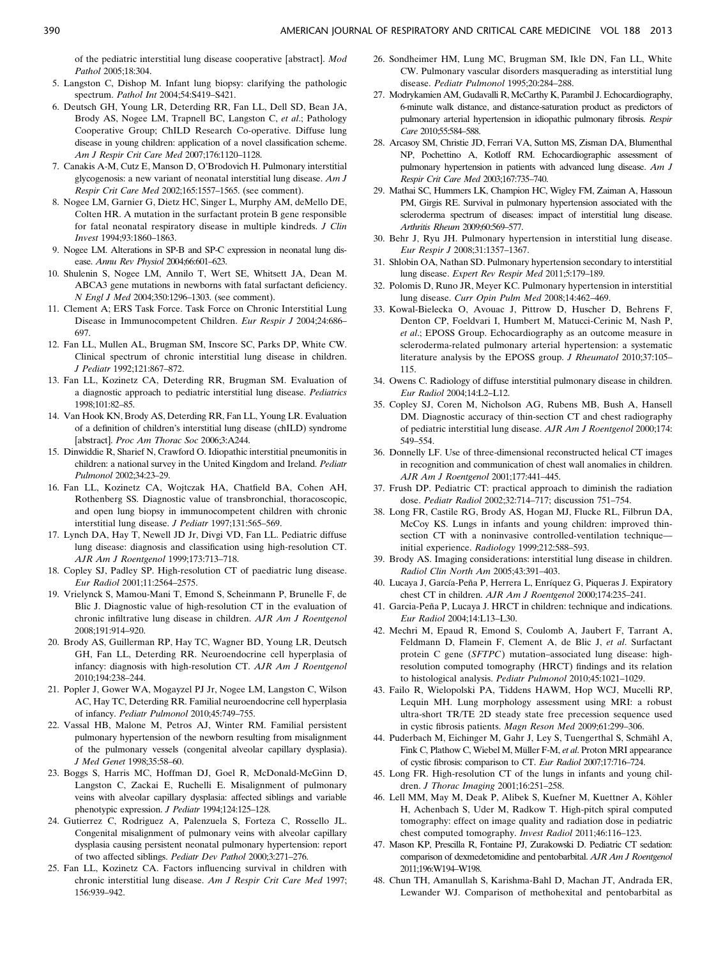of the pediatric interstitial lung disease cooperative [abstract]. Mod Pathol 2005;18:304.

- 5. Langston C, Dishop M. Infant lung biopsy: clarifying the pathologic spectrum. Pathol Int 2004;54:S419–S421.
- 6. Deutsch GH, Young LR, Deterding RR, Fan LL, Dell SD, Bean JA, Brody AS, Nogee LM, Trapnell BC, Langston C, et al.; Pathology Cooperative Group; ChILD Research Co-operative. Diffuse lung disease in young children: application of a novel classification scheme. Am J Respir Crit Care Med 2007;176:1120–1128.
- 7. Canakis A-M, Cutz E, Manson D, O'Brodovich H. Pulmonary interstitial glycogenosis: a new variant of neonatal interstitial lung disease. Am J Respir Crit Care Med 2002;165:1557–1565. (see comment).
- 8. Nogee LM, Garnier G, Dietz HC, Singer L, Murphy AM, deMello DE, Colten HR. A mutation in the surfactant protein B gene responsible for fatal neonatal respiratory disease in multiple kindreds. J Clin Invest 1994;93:1860–1863.
- 9. Nogee LM. Alterations in SP-B and SP-C expression in neonatal lung disease. Annu Rev Physiol 2004;66:601–623.
- 10. Shulenin S, Nogee LM, Annilo T, Wert SE, Whitsett JA, Dean M. ABCA3 gene mutations in newborns with fatal surfactant deficiency. N Engl J Med 2004;350:1296–1303. (see comment).
- 11. Clement A; ERS Task Force. Task Force on Chronic Interstitial Lung Disease in Immunocompetent Children. Eur Respir J 2004;24:686– 697.
- 12. Fan LL, Mullen AL, Brugman SM, Inscore SC, Parks DP, White CW. Clinical spectrum of chronic interstitial lung disease in children. J Pediatr 1992;121:867–872.
- 13. Fan LL, Kozinetz CA, Deterding RR, Brugman SM. Evaluation of a diagnostic approach to pediatric interstitial lung disease. Pediatrics 1998;101:82–85.
- 14. Van Hook KN, Brody AS, Deterding RR, Fan LL, Young LR. Evaluation of a definition of children's interstitial lung disease (chILD) syndrome [abstract]. Proc Am Thorac Soc 2006;3:A244.
- 15. Dinwiddie R, Sharief N, Crawford O. Idiopathic interstitial pneumonitis in children: a national survey in the United Kingdom and Ireland. Pediatr Pulmonol 2002;34:23–29.
- 16. Fan LL, Kozinetz CA, Wojtczak HA, Chatfield BA, Cohen AH, Rothenberg SS. Diagnostic value of transbronchial, thoracoscopic, and open lung biopsy in immunocompetent children with chronic interstitial lung disease. J Pediatr 1997;131:565–569.
- 17. Lynch DA, Hay T, Newell JD Jr, Divgi VD, Fan LL. Pediatric diffuse lung disease: diagnosis and classification using high-resolution CT. AJR Am J Roentgenol 1999;173:713–718.
- 18. Copley SJ, Padley SP. High-resolution CT of paediatric lung disease. Eur Radiol 2001;11:2564–2575.
- 19. Vrielynck S, Mamou-Mani T, Emond S, Scheinmann P, Brunelle F, de Blic J. Diagnostic value of high-resolution CT in the evaluation of chronic infiltrative lung disease in children. AJR Am J Roentgenol 2008;191:914–920.
- 20. Brody AS, Guillerman RP, Hay TC, Wagner BD, Young LR, Deutsch GH, Fan LL, Deterding RR. Neuroendocrine cell hyperplasia of infancy: diagnosis with high-resolution CT. AJR Am J Roentgenol 2010;194:238–244.
- 21. Popler J, Gower WA, Mogayzel PJ Jr, Nogee LM, Langston C, Wilson AC, Hay TC, Deterding RR. Familial neuroendocrine cell hyperplasia of infancy. Pediatr Pulmonol 2010;45:749–755.
- 22. Vassal HB, Malone M, Petros AJ, Winter RM. Familial persistent pulmonary hypertension of the newborn resulting from misalignment of the pulmonary vessels (congenital alveolar capillary dysplasia). J Med Genet 1998;35:58–60.
- 23. Boggs S, Harris MC, Hoffman DJ, Goel R, McDonald-McGinn D, Langston C, Zackai E, Ruchelli E. Misalignment of pulmonary veins with alveolar capillary dysplasia: affected siblings and variable phenotypic expression. J Pediatr 1994;124:125–128.
- 24. Gutierrez C, Rodriguez A, Palenzuela S, Forteza C, Rossello JL. Congenital misalignment of pulmonary veins with alveolar capillary dysplasia causing persistent neonatal pulmonary hypertension: report of two affected siblings. Pediatr Dev Pathol 2000;3:271–276.
- 25. Fan LL, Kozinetz CA. Factors influencing survival in children with chronic interstitial lung disease. Am J Respir Crit Care Med 1997; 156:939–942.
- 26. Sondheimer HM, Lung MC, Brugman SM, Ikle DN, Fan LL, White CW. Pulmonary vascular disorders masquerading as interstitial lung disease. Pediatr Pulmonol 1995;20:284–288.
- 27. Modrykamien AM, Gudavalli R, McCarthy K, Parambil J. Echocardiography, 6-minute walk distance, and distance-saturation product as predictors of pulmonary arterial hypertension in idiopathic pulmonary fibrosis. Respir Care 2010;55:584–588.
- 28. Arcasoy SM, Christie JD, Ferrari VA, Sutton MS, Zisman DA, Blumenthal NP, Pochettino A, Kotloff RM. Echocardiographic assessment of pulmonary hypertension in patients with advanced lung disease. Am J Respir Crit Care Med 2003;167:735–740.
- 29. Mathai SC, Hummers LK, Champion HC, Wigley FM, Zaiman A, Hassoun PM, Girgis RE. Survival in pulmonary hypertension associated with the scleroderma spectrum of diseases: impact of interstitial lung disease. Arthritis Rheum 2009;60:569–577.
- 30. Behr J, Ryu JH. Pulmonary hypertension in interstitial lung disease. Eur Respir J 2008;31:1357–1367.
- 31. Shlobin OA, Nathan SD. Pulmonary hypertension secondary to interstitial lung disease. Expert Rev Respir Med 2011;5:179–189.
- 32. Polomis D, Runo JR, Meyer KC. Pulmonary hypertension in interstitial lung disease. Curr Opin Pulm Med 2008;14:462–469.
- 33. Kowal-Bielecka O, Avouac J, Pittrow D, Huscher D, Behrens F, Denton CP, Foeldvari I, Humbert M, Matucci-Cerinic M, Nash P, et al.; EPOSS Group. Echocardiography as an outcome measure in scleroderma-related pulmonary arterial hypertension: a systematic literature analysis by the EPOSS group. J Rheumatol 2010;37:105– 115.
- 34. Owens C. Radiology of diffuse interstitial pulmonary disease in children. Eur Radiol 2004;14:L2–L12.
- 35. Copley SJ, Coren M, Nicholson AG, Rubens MB, Bush A, Hansell DM. Diagnostic accuracy of thin-section CT and chest radiography of pediatric interstitial lung disease. AJR Am J Roentgenol 2000;174: 549–554.
- 36. Donnelly LF. Use of three-dimensional reconstructed helical CT images in recognition and communication of chest wall anomalies in children. AJR Am J Roentgenol 2001;177:441–445.
- 37. Frush DP. Pediatric CT: practical approach to diminish the radiation dose. Pediatr Radiol 2002;32:714–717; discussion 751–754.
- 38. Long FR, Castile RG, Brody AS, Hogan MJ, Flucke RL, Filbrun DA, McCoy KS. Lungs in infants and young children: improved thinsection CT with a noninvasive controlled-ventilation technique initial experience. Radiology 1999;212:588–593.
- 39. Brody AS. Imaging considerations: interstitial lung disease in children. Radiol Clin North Am 2005;43:391–403.
- 40. Lucaya J, García-Peña P, Herrera L, Enríquez G, Piqueras J. Expiratory chest CT in children. AJR Am J Roentgenol 2000;174:235–241.
- 41. Garcia-Peña P, Lucaya J. HRCT in children: technique and indications. Eur Radiol 2004;14:L13–L30.
- 42. Mechri M, Epaud R, Emond S, Coulomb A, Jaubert F, Tarrant A, Feldmann D, Flamein F, Clement A, de Blic J, et al. Surfactant protein C gene (SFTPC) mutation–associated lung disease: highresolution computed tomography (HRCT) findings and its relation to histological analysis. Pediatr Pulmonol 2010;45:1021–1029.
- 43. Failo R, Wielopolski PA, Tiddens HAWM, Hop WCJ, Mucelli RP, Lequin MH. Lung morphology assessment using MRI: a robust ultra-short TR/TE 2D steady state free precession sequence used in cystic fibrosis patients. Magn Reson Med 2009;61:299–306.
- 44. Puderbach M, Eichinger M, Gahr J, Ley S, Tuengerthal S, Schmähl A, Fink C, Plathow C, Wiebel M, Müller F-M, et al. Proton MRI appearance of cystic fibrosis: comparison to CT. Eur Radiol 2007;17:716–724.
- 45. Long FR. High-resolution CT of the lungs in infants and young children. J Thorac Imaging 2001;16:251–258.
- 46. Lell MM, May M, Deak P, Alibek S, Kuefner M, Kuettner A, Köhler H, Achenbach S, Uder M, Radkow T. High-pitch spiral computed tomography: effect on image quality and radiation dose in pediatric chest computed tomography. Invest Radiol 2011;46:116–123.
- 47. Mason KP, Prescilla R, Fontaine PJ, Zurakowski D. Pediatric CT sedation: comparison of dexmedetomidine and pentobarbital. AJR Am J Roentgenol 2011;196:W194–W198.
- 48. Chun TH, Amanullah S, Karishma-Bahl D, Machan JT, Andrada ER, Lewander WJ. Comparison of methohexital and pentobarbital as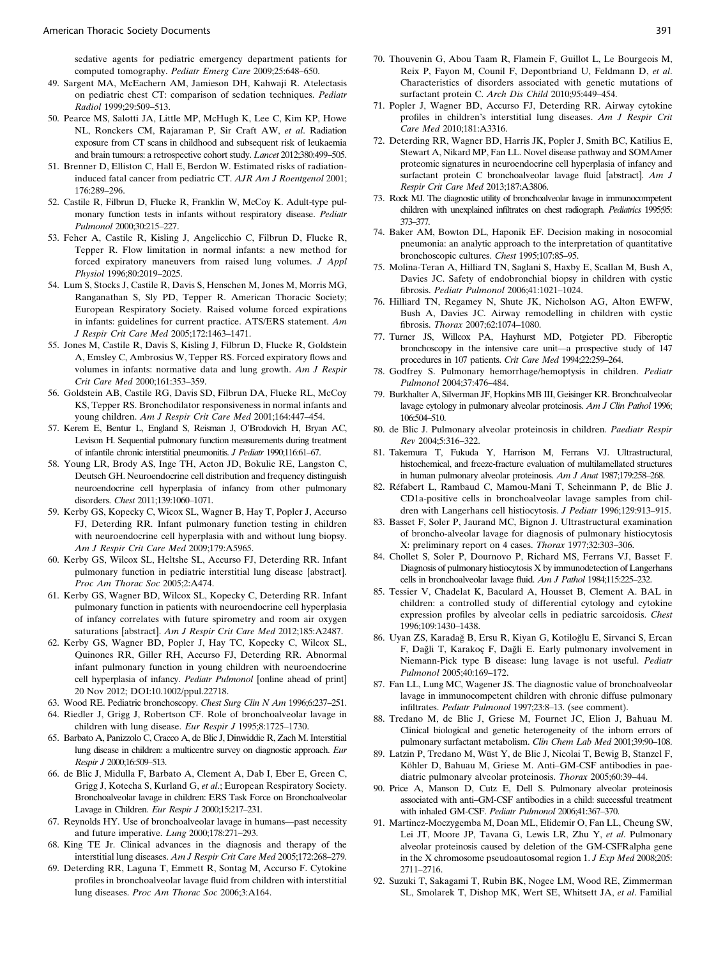sedative agents for pediatric emergency department patients for computed tomography. Pediatr Emerg Care 2009;25:648–650.

- 49. Sargent MA, McEachern AM, Jamieson DH, Kahwaji R. Atelectasis on pediatric chest CT: comparison of sedation techniques. Pediatr Radiol 1999;29:509–513.
- 50. Pearce MS, Salotti JA, Little MP, McHugh K, Lee C, Kim KP, Howe NL, Ronckers CM, Rajaraman P, Sir Craft AW, et al. Radiation exposure from CT scans in childhood and subsequent risk of leukaemia and brain tumours: a retrospective cohort study. Lancet 2012;380:499–505.
- 51. Brenner D, Elliston C, Hall E, Berdon W. Estimated risks of radiationinduced fatal cancer from pediatric CT. AJR Am J Roentgenol 2001; 176:289–296.
- 52. Castile R, Filbrun D, Flucke R, Franklin W, McCoy K. Adult-type pulmonary function tests in infants without respiratory disease. Pediatr Pulmonol 2000;30:215–227.
- 53. Feher A, Castile R, Kisling J, Angelicchio C, Filbrun D, Flucke R, Tepper R. Flow limitation in normal infants: a new method for forced expiratory maneuvers from raised lung volumes. J Appl Physiol 1996;80:2019–2025.
- 54. Lum S, Stocks J, Castile R, Davis S, Henschen M, Jones M, Morris MG, Ranganathan S, Sly PD, Tepper R. American Thoracic Society; European Respiratory Society. Raised volume forced expirations in infants: guidelines for current practice. ATS/ERS statement. Am J Respir Crit Care Med 2005;172:1463–1471.
- 55. Jones M, Castile R, Davis S, Kisling J, Filbrun D, Flucke R, Goldstein A, Emsley C, Ambrosius W, Tepper RS. Forced expiratory flows and volumes in infants: normative data and lung growth. Am J Respir Crit Care Med 2000;161:353–359.
- 56. Goldstein AB, Castile RG, Davis SD, Filbrun DA, Flucke RL, McCoy KS, Tepper RS. Bronchodilator responsiveness in normal infants and young children. Am J Respir Crit Care Med 2001;164:447–454.
- 57. Kerem E, Bentur L, England S, Reisman J, O'Brodovich H, Bryan AC, Levison H. Sequential pulmonary function measurements during treatment of infantile chronic interstitial pneumonitis. J Pediatr 1990;116:61–67.
- 58. Young LR, Brody AS, Inge TH, Acton JD, Bokulic RE, Langston C, Deutsch GH. Neuroendocrine cell distribution and frequency distinguish neuroendocrine cell hyperplasia of infancy from other pulmonary disorders. Chest 2011;139:1060–1071.
- 59. Kerby GS, Kopecky C, Wicox SL, Wagner B, Hay T, Popler J, Accurso FJ, Deterding RR. Infant pulmonary function testing in children with neuroendocrine cell hyperplasia with and without lung biopsy. Am J Respir Crit Care Med 2009;179:A5965.
- 60. Kerby GS, Wilcox SL, Heltshe SL, Accurso FJ, Deterding RR. Infant pulmonary function in pediatric interstitial lung disease [abstract]. Proc Am Thorac Soc 2005;2:A474.
- 61. Kerby GS, Wagner BD, Wilcox SL, Kopecky C, Deterding RR. Infant pulmonary function in patients with neuroendocrine cell hyperplasia of infancy correlates with future spirometry and room air oxygen saturations [abstract]. Am J Respir Crit Care Med 2012;185:A2487.
- 62. Kerby GS, Wagner BD, Popler J, Hay TC, Kopecky C, Wilcox SL, Quinones RR, Giller RH, Accurso FJ, Deterding RR. Abnormal infant pulmonary function in young children with neuroendocrine cell hyperplasia of infancy. Pediatr Pulmonol [online ahead of print] 20 Nov 2012; DOI:10.1002/ppul.22718.
- 63. Wood RE. Pediatric bronchoscopy. Chest Surg Clin N Am 1996;6:237–251.
- 64. Riedler J, Grigg J, Robertson CF. Role of bronchoalveolar lavage in children with lung disease. Eur Respir J 1995;8:1725–1730.
- 65. Barbato A, Panizzolo C, Cracco A, de Blic J, Dinwiddie R, Zach M. Interstitial lung disease in children: a multicentre survey on diagnostic approach. Eur Respir J 2000;16:509–513.
- 66. de Blic J, Midulla F, Barbato A, Clement A, Dab I, Eber E, Green C, Grigg J, Kotecha S, Kurland G, et al.; European Respiratory Society. Bronchoalveolar lavage in children: ERS Task Force on Bronchoalveolar Lavage in Children. Eur Respir J 2000;15:217–231.
- 67. Reynolds HY. Use of bronchoalveolar lavage in humans—past necessity and future imperative. Lung 2000;178:271–293.
- 68. King TE Jr. Clinical advances in the diagnosis and therapy of the interstitial lung diseases. Am J Respir Crit Care Med 2005;172:268–279.
- 69. Deterding RR, Laguna T, Emmett R, Sontag M, Accurso F. Cytokine profiles in bronchoalveolar lavage fluid from children with interstitial lung diseases. Proc Am Thorac Soc 2006;3:A164.
- 70. Thouvenin G, Abou Taam R, Flamein F, Guillot L, Le Bourgeois M, Reix P, Fayon M, Counil F, Depontbriand U, Feldmann D, et al. Characteristics of disorders associated with genetic mutations of surfactant protein C. Arch Dis Child 2010;95:449–454.
- 71. Popler J, Wagner BD, Accurso FJ, Deterding RR. Airway cytokine profiles in children's interstitial lung diseases. Am J Respir Crit Care Med 2010;181:A3316.
- 72. Deterding RR, Wagner BD, Harris JK, Popler J, Smith BC, Katilius E, Stewart A, Nikard MP, Fan LL. Novel disease pathway and SOMAmer proteomic signatures in neuroendocrine cell hyperplasia of infancy and surfactant protein C bronchoalveolar lavage fluid [abstract]. Am J Respir Crit Care Med 2013;187:A3806.
- 73. Rock MJ. The diagnostic utility of bronchoalveolar lavage in immunocompetent children with unexplained infiltrates on chest radiograph. Pediatrics 1995;95: 373–377.
- 74. Baker AM, Bowton DL, Haponik EF. Decision making in nosocomial pneumonia: an analytic approach to the interpretation of quantitative bronchoscopic cultures. Chest 1995;107:85–95.
- 75. Molina-Teran A, Hilliard TN, Saglani S, Haxby E, Scallan M, Bush A, Davies JC. Safety of endobronchial biopsy in children with cystic fibrosis. Pediatr Pulmonol 2006;41:1021–1024.
- 76. Hilliard TN, Regamey N, Shute JK, Nicholson AG, Alton EWFW, Bush A, Davies JC. Airway remodelling in children with cystic fibrosis. Thorax 2007;62:1074–1080.
- 77. Turner JS, Willcox PA, Hayhurst MD, Potgieter PD. Fiberoptic bronchoscopy in the intensive care unit—a prospective study of 147 procedures in 107 patients. Crit Care Med 1994;22:259–264.
- 78. Godfrey S. Pulmonary hemorrhage/hemoptysis in children. Pediatr Pulmonol 2004;37:476–484.
- 79. Burkhalter A, Silverman JF, Hopkins MB III, Geisinger KR. Bronchoalveolar lavage cytology in pulmonary alveolar proteinosis. Am J Clin Pathol 1996; 106:504–510.
- 80. de Blic J. Pulmonary alveolar proteinosis in children. Paediatr Respir Rev 2004;5:316–322.
- 81. Takemura T, Fukuda Y, Harrison M, Ferrans VJ. Ultrastructural, histochemical, and freeze-fracture evaluation of multilamellated structures in human pulmonary alveolar proteinosis. Am J Anat 1987;179:258–268.
- 82. Réfabert L, Rambaud C, Mamou-Mani T, Scheinmann P, de Blic J. CD1a-positive cells in bronchoalveolar lavage samples from children with Langerhans cell histiocytosis. J Pediatr 1996;129:913–915.
- 83. Basset F, Soler P, Jaurand MC, Bignon J. Ultrastructural examination of broncho-alveolar lavage for diagnosis of pulmonary histiocytosis X: preliminary report on 4 cases. Thorax 1977;32:303–306.
- 84. Chollet S, Soler P, Dournovo P, Richard MS, Ferrans VJ, Basset F. Diagnosis of pulmonary histiocytosis X by immunodetection of Langerhans cells in bronchoalveolar lavage fluid. Am J Pathol 1984;115:225–232.
- 85. Tessier V, Chadelat K, Baculard A, Housset B, Clement A. BAL in children: a controlled study of differential cytology and cytokine expression profiles by alveolar cells in pediatric sarcoidosis. Chest 1996;109:1430–1438.
- 86. Uyan ZS, Karadağ B, Ersu R, Kiyan G, Kotiloğlu E, Sirvanci S, Ercan F, Dağli T, Karakoç F, Dağli E. Early pulmonary involvement in Niemann-Pick type B disease: lung lavage is not useful. Pediatr Pulmonol 2005;40:169–172.
- 87. Fan LL, Lung MC, Wagener JS. The diagnostic value of bronchoalveolar lavage in immunocompetent children with chronic diffuse pulmonary infiltrates. Pediatr Pulmonol 1997;23:8–13. (see comment).
- 88. Tredano M, de Blic J, Griese M, Fournet JC, Elion J, Bahuau M. Clinical biological and genetic heterogeneity of the inborn errors of pulmonary surfactant metabolism. Clin Chem Lab Med 2001;39:90–108.
- 89. Latzin P, Tredano M, Wüst Y, de Blic J, Nicolai T, Bewig B, Stanzel F, Köhler D, Bahuau M, Griese M. Anti–GM-CSF antibodies in paediatric pulmonary alveolar proteinosis. Thorax 2005;60:39–44.
- 90. Price A, Manson D, Cutz E, Dell S. Pulmonary alveolar proteinosis associated with anti–GM-CSF antibodies in a child: successful treatment with inhaled GM-CSF. Pediatr Pulmonol 2006;41:367–370.
- 91. Martinez-Moczygemba M, Doan ML, Elidemir O, Fan LL, Cheung SW, Lei JT, Moore JP, Tavana G, Lewis LR, Zhu Y, et al. Pulmonary alveolar proteinosis caused by deletion of the GM-CSFRalpha gene in the X chromosome pseudoautosomal region 1. J Exp Med 2008;205: 2711–2716.
- 92. Suzuki T, Sakagami T, Rubin BK, Nogee LM, Wood RE, Zimmerman SL, Smolarek T, Dishop MK, Wert SE, Whitsett JA, et al. Familial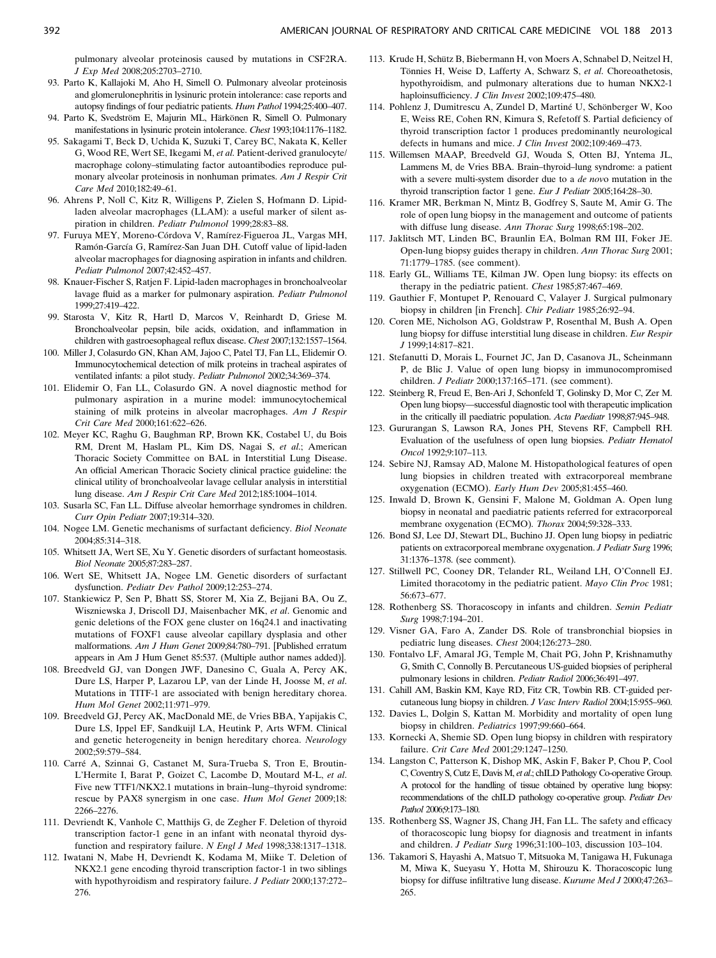pulmonary alveolar proteinosis caused by mutations in CSF2RA. J Exp Med 2008;205:2703–2710.

- 93. Parto K, Kallajoki M, Aho H, Simell O. Pulmonary alveolar proteinosis and glomerulonephritis in lysinuric protein intolerance: case reports and autopsy findings of four pediatric patients. Hum Pathol 1994;25:400–407.
- 94. Parto K, Svedström E, Majurin ML, Härkönen R, Simell O. Pulmonary manifestations in lysinuric protein intolerance. Chest 1993;104:1176–1182.
- 95. Sakagami T, Beck D, Uchida K, Suzuki T, Carey BC, Nakata K, Keller G, Wood RE, Wert SE, Ikegami M, et al. Patient-derived granulocyte/ macrophage colony–stimulating factor autoantibodies reproduce pulmonary alveolar proteinosis in nonhuman primates. Am J Respir Crit Care Med 2010;182:49–61.
- 96. Ahrens P, Noll C, Kitz R, Willigens P, Zielen S, Hofmann D. Lipidladen alveolar macrophages (LLAM): a useful marker of silent aspiration in children. Pediatr Pulmonol 1999;28:83–88.
- 97. Furuya MEY, Moreno-Córdova V, Ramírez-Figueroa JL, Vargas MH, Ramón-García G, Ramírez-San Juan DH. Cutoff value of lipid-laden alveolar macrophages for diagnosing aspiration in infants and children. Pediatr Pulmonol 2007;42:452–457.
- 98. Knauer-Fischer S, Ratjen F. Lipid-laden macrophages in bronchoalveolar lavage fluid as a marker for pulmonary aspiration. Pediatr Pulmonol 1999;27:419–422.
- 99. Starosta V, Kitz R, Hartl D, Marcos V, Reinhardt D, Griese M. Bronchoalveolar pepsin, bile acids, oxidation, and inflammation in children with gastroesophageal reflux disease. Chest 2007;132:1557–1564.
- 100. Miller J, Colasurdo GN, Khan AM, Jajoo C, Patel TJ, Fan LL, Elidemir O. Immunocytochemical detection of milk proteins in tracheal aspirates of ventilated infants: a pilot study. Pediatr Pulmonol 2002;34:369-374.
- 101. Elidemir O, Fan LL, Colasurdo GN. A novel diagnostic method for pulmonary aspiration in a murine model: immunocytochemical staining of milk proteins in alveolar macrophages. Am J Respir Crit Care Med 2000;161:622–626.
- 102. Meyer KC, Raghu G, Baughman RP, Brown KK, Costabel U, du Bois RM, Drent M, Haslam PL, Kim DS, Nagai S, et al.; American Thoracic Society Committee on BAL in Interstitial Lung Disease. An official American Thoracic Society clinical practice guideline: the clinical utility of bronchoalveolar lavage cellular analysis in interstitial lung disease. Am J Respir Crit Care Med 2012;185:1004–1014.
- 103. Susarla SC, Fan LL. Diffuse alveolar hemorrhage syndromes in children. Curr Opin Pediatr 2007;19:314–320.
- 104. Nogee LM. Genetic mechanisms of surfactant deficiency. Biol Neonate 2004;85:314–318.
- 105. Whitsett JA, Wert SE, Xu Y. Genetic disorders of surfactant homeostasis. Biol Neonate 2005;87:283–287.
- 106. Wert SE, Whitsett JA, Nogee LM. Genetic disorders of surfactant dysfunction. Pediatr Dev Pathol 2009;12:253–274.
- 107. Stankiewicz P, Sen P, Bhatt SS, Storer M, Xia Z, Bejjani BA, Ou Z, Wiszniewska J, Driscoll DJ, Maisenbacher MK, et al. Genomic and genic deletions of the FOX gene cluster on 16q24.1 and inactivating mutations of FOXF1 cause alveolar capillary dysplasia and other malformations. Am J Hum Genet 2009;84:780–791. [Published erratum appears in Am J Hum Genet 85:537. (Multiple author names added)].
- 108. Breedveld GJ, van Dongen JWF, Danesino C, Guala A, Percy AK, Dure LS, Harper P, Lazarou LP, van der Linde H, Joosse M, et al. Mutations in TITF-1 are associated with benign hereditary chorea. Hum Mol Genet 2002;11:971–979.
- 109. Breedveld GJ, Percy AK, MacDonald ME, de Vries BBA, Yapijakis C, Dure LS, Ippel EF, Sandkuijl LA, Heutink P, Arts WFM. Clinical and genetic heterogeneity in benign hereditary chorea. Neurology 2002;59:579–584.
- 110. Carré A, Szinnai G, Castanet M, Sura-Trueba S, Tron E, Broutin-L'Hermite I, Barat P, Goizet C, Lacombe D, Moutard M-L, et al. Five new TTF1/NKX2.1 mutations in brain–lung–thyroid syndrome: rescue by PAX8 synergism in one case. Hum Mol Genet 2009;18: 2266–2276.
- 111. Devriendt K, Vanhole C, Matthijs G, de Zegher F. Deletion of thyroid transcription factor-1 gene in an infant with neonatal thyroid dysfunction and respiratory failure. N Engl J Med 1998;338:1317–1318.
- 112. Iwatani N, Mabe H, Devriendt K, Kodama M, Miike T. Deletion of NKX2.1 gene encoding thyroid transcription factor-1 in two siblings with hypothyroidism and respiratory failure. J Pediatr 2000;137:272– 276.
- 113. Krude H, Schütz B, Biebermann H, von Moers A, Schnabel D, Neitzel H, Tönnies H, Weise D, Lafferty A, Schwarz S, et al. Choreoathetosis, hypothyroidism, and pulmonary alterations due to human NKX2-1 haploinsufficiency. J Clin Invest 2002;109:475-480.
- 114. Pohlenz J, Dumitrescu A, Zundel D, Martiné U, Schönberger W, Koo E, Weiss RE, Cohen RN, Kimura S, Refetoff S. Partial deficiency of thyroid transcription factor 1 produces predominantly neurological defects in humans and mice. J Clin Invest 2002;109:469–473.
- 115. Willemsen MAAP, Breedveld GJ, Wouda S, Otten BJ, Yntema JL, Lammens M, de Vries BBA. Brain–thyroid–lung syndrome: a patient with a severe multi-system disorder due to a de novo mutation in the thyroid transcription factor 1 gene. Eur J Pediatr 2005;164:28–30.
- 116. Kramer MR, Berkman N, Mintz B, Godfrey S, Saute M, Amir G. The role of open lung biopsy in the management and outcome of patients with diffuse lung disease. Ann Thorac Surg 1998;65:198–202.
- 117. Jaklitsch MT, Linden BC, Braunlin EA, Bolman RM III, Foker JE. Open-lung biopsy guides therapy in children. Ann Thorac Surg 2001; 71:1779–1785. (see comment).
- 118. Early GL, Williams TE, Kilman JW. Open lung biopsy: its effects on therapy in the pediatric patient. Chest 1985;87:467–469.
- 119. Gauthier F, Montupet P, Renouard C, Valayer J. Surgical pulmonary biopsy in children [in French]. Chir Pediatr 1985;26:92–94.
- 120. Coren ME, Nicholson AG, Goldstraw P, Rosenthal M, Bush A. Open lung biopsy for diffuse interstitial lung disease in children. Eur Respir J 1999;14:817–821.
- 121. Stefanutti D, Morais L, Fournet JC, Jan D, Casanova JL, Scheinmann P, de Blic J. Value of open lung biopsy in immunocompromised children. J Pediatr 2000;137:165–171. (see comment).
- 122. Steinberg R, Freud E, Ben-Ari J, Schonfeld T, Golinsky D, Mor C, Zer M. Open lung biopsy—successful diagnostic tool with therapeutic implication in the critically ill paediatric population. Acta Paediatr 1998;87:945–948.
- 123. Gururangan S, Lawson RA, Jones PH, Stevens RF, Campbell RH. Evaluation of the usefulness of open lung biopsies. Pediatr Hematol Oncol 1992;9:107–113.
- 124. Sebire NJ, Ramsay AD, Malone M. Histopathological features of open lung biopsies in children treated with extracorporeal membrane oxygenation (ECMO). Early Hum Dev 2005;81:455–460.
- 125. Inwald D, Brown K, Gensini F, Malone M, Goldman A. Open lung biopsy in neonatal and paediatric patients referred for extracorporeal membrane oxygenation (ECMO). Thorax 2004;59:328–333.
- 126. Bond SJ, Lee DJ, Stewart DL, Buchino JJ. Open lung biopsy in pediatric patients on extracorporeal membrane oxygenation. J Pediatr Surg 1996; 31:1376–1378. (see comment).
- 127. Stillwell PC, Cooney DR, Telander RL, Weiland LH, O'Connell EJ. Limited thoracotomy in the pediatric patient. Mayo Clin Proc 1981; 56:673–677.
- 128. Rothenberg SS. Thoracoscopy in infants and children. Semin Pediatr Surg 1998;7:194–201.
- 129. Visner GA, Faro A, Zander DS. Role of transbronchial biopsies in pediatric lung diseases. Chest 2004;126:273–280.
- 130. Fontalvo LF, Amaral JG, Temple M, Chait PG, John P, Krishnamuthy G, Smith C, Connolly B. Percutaneous US-guided biopsies of peripheral pulmonary lesions in children. Pediatr Radiol 2006;36:491–497.
- 131. Cahill AM, Baskin KM, Kaye RD, Fitz CR, Towbin RB. CT-guided percutaneous lung biopsy in children. J Vasc Interv Radiol 2004;15:955–960.
- 132. Davies L, Dolgin S, Kattan M. Morbidity and mortality of open lung biopsy in children. Pediatrics 1997;99:660–664.
- 133. Kornecki A, Shemie SD. Open lung biopsy in children with respiratory failure. Crit Care Med 2001;29:1247–1250.
- 134. Langston C, Patterson K, Dishop MK, Askin F, Baker P, Chou P, Cool C, Coventry S, Cutz E, Davis M, et al.; chILD Pathology Co-operative Group. A protocol for the handling of tissue obtained by operative lung biopsy: recommendations of the chILD pathology co-operative group. Pediatr Dev Pathol 2006;9:173–180.
- 135. Rothenberg SS, Wagner JS, Chang JH, Fan LL. The safety and efficacy of thoracoscopic lung biopsy for diagnosis and treatment in infants and children. J Pediatr Surg 1996;31:100–103, discussion 103–104.
- 136. Takamori S, Hayashi A, Matsuo T, Mitsuoka M, Tanigawa H, Fukunaga M, Miwa K, Sueyasu Y, Hotta M, Shirouzu K. Thoracoscopic lung biopsy for diffuse infiltrative lung disease. Kurume Med J 2000;47:263– 265.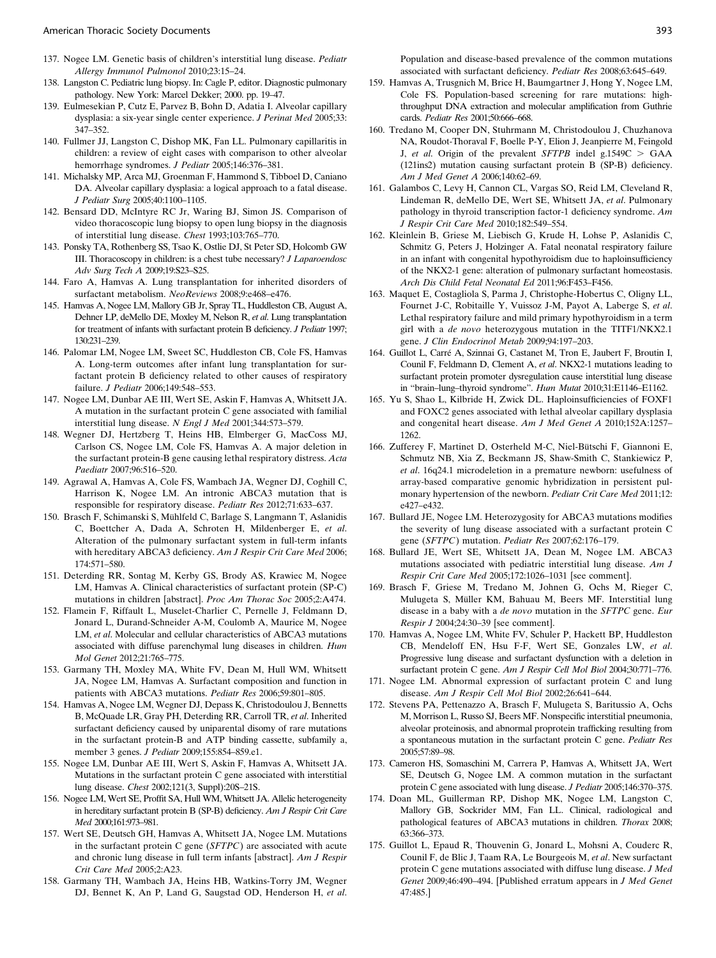- 137. Nogee LM. Genetic basis of children's interstitial lung disease. Pediatr Allergy Immunol Pulmonol 2010;23:15–24.
- 138. Langston C. Pediatric lung biopsy. In: Cagle P, editor. Diagnostic pulmonary pathology. New York: Marcel Dekker; 2000. pp. 19–47.
- 139. Eulmesekian P, Cutz E, Parvez B, Bohn D, Adatia I. Alveolar capillary dysplasia: a six-year single center experience. J Perinat Med 2005;33: 347–352.
- 140. Fullmer JJ, Langston C, Dishop MK, Fan LL. Pulmonary capillaritis in children: a review of eight cases with comparison to other alveolar hemorrhage syndromes. J Pediatr 2005;146:376-381.
- 141. Michalsky MP, Arca MJ, Groenman F, Hammond S, Tibboel D, Caniano DA. Alveolar capillary dysplasia: a logical approach to a fatal disease. J Pediatr Surg 2005;40:1100–1105.
- 142. Bensard DD, McIntyre RC Jr, Waring BJ, Simon JS. Comparison of video thoracoscopic lung biopsy to open lung biopsy in the diagnosis of interstitial lung disease. Chest 1993;103:765–770.
- 143. Ponsky TA, Rothenberg SS, Tsao K, Ostlie DJ, St Peter SD, Holcomb GW III. Thoracoscopy in children: is a chest tube necessary? J Laparoendosc Adv Surg Tech A 2009;19:S23–S25.
- 144. Faro A, Hamvas A. Lung transplantation for inherited disorders of surfactant metabolism. NeoReviews 2008;9:e468–e476.
- 145. Hamvas A, Nogee LM, Mallory GB Jr, Spray TL, Huddleston CB, August A, Dehner LP, deMello DE, Moxley M, Nelson R, et al. Lung transplantation for treatment of infants with surfactant protein B deficiency. J Pediatr 1997; 130:231–239.
- 146. Palomar LM, Nogee LM, Sweet SC, Huddleston CB, Cole FS, Hamvas A. Long-term outcomes after infant lung transplantation for surfactant protein B deficiency related to other causes of respiratory failure. J Pediatr 2006;149:548–553.
- 147. Nogee LM, Dunbar AE III, Wert SE, Askin F, Hamvas A, Whitsett JA. A mutation in the surfactant protein C gene associated with familial interstitial lung disease. N Engl J Med 2001;344:573–579.
- 148. Wegner DJ, Hertzberg T, Heins HB, Elmberger G, MacCoss MJ, Carlson CS, Nogee LM, Cole FS, Hamvas A. A major deletion in the surfactant protein-B gene causing lethal respiratory distress. Acta Paediatr 2007;96:516–520.
- 149. Agrawal A, Hamvas A, Cole FS, Wambach JA, Wegner DJ, Coghill C, Harrison K, Nogee LM. An intronic ABCA3 mutation that is responsible for respiratory disease. Pediatr Res 2012;71:633–637.
- 150. Brasch F, Schimanski S, Mühlfeld C, Barlage S, Langmann T, Aslanidis C, Boettcher A, Dada A, Schroten H, Mildenberger E, et al. Alteration of the pulmonary surfactant system in full-term infants with hereditary ABCA3 deficiency. Am J Respir Crit Care Med 2006; 174:571–580.
- 151. Deterding RR, Sontag M, Kerby GS, Brody AS, Krawiec M, Nogee LM, Hamvas A. Clinical characteristics of surfactant protein (SP-C) mutations in children [abstract]. Proc Am Thorac Soc 2005;2:A474.
- 152. Flamein F, Riffault L, Muselet-Charlier C, Pernelle J, Feldmann D, Jonard L, Durand-Schneider A-M, Coulomb A, Maurice M, Nogee LM, et al. Molecular and cellular characteristics of ABCA3 mutations associated with diffuse parenchymal lung diseases in children. Hum Mol Genet 2012;21:765–775.
- 153. Garmany TH, Moxley MA, White FV, Dean M, Hull WM, Whitsett JA, Nogee LM, Hamvas A. Surfactant composition and function in patients with ABCA3 mutations. Pediatr Res 2006;59:801–805.
- 154. Hamvas A, Nogee LM, Wegner DJ, Depass K, Christodoulou J, Bennetts B, McQuade LR, Gray PH, Deterding RR, Carroll TR, et al. Inherited surfactant deficiency caused by uniparental disomy of rare mutations in the surfactant protein-B and ATP binding cassette, subfamily a, member 3 genes. J Pediatr 2009;155:854–859.e1.
- 155. Nogee LM, Dunbar AE III, Wert S, Askin F, Hamvas A, Whitsett JA. Mutations in the surfactant protein C gene associated with interstitial lung disease. Chest 2002;121(3, Suppl):20S–21S.
- 156. Nogee LM, Wert SE, Proffit SA, Hull WM, Whitsett JA. Allelic heterogeneity in hereditary surfactant protein B (SP-B) deficiency. Am J Respir Crit Care Med 2000;161:973–981.
- 157. Wert SE, Deutsch GH, Hamvas A, Whitsett JA, Nogee LM. Mutations in the surfactant protein C gene (SFTPC) are associated with acute and chronic lung disease in full term infants [abstract]. Am J Respir Crit Care Med 2005;2:A23.
- 158. Garmany TH, Wambach JA, Heins HB, Watkins-Torry JM, Wegner DJ, Bennet K, An P, Land G, Saugstad OD, Henderson H, et al.

Population and disease-based prevalence of the common mutations associated with surfactant deficiency. Pediatr Res 2008;63:645–649.

- 159. Hamvas A, Trusgnich M, Brice H, Baumgartner J, Hong Y, Nogee LM, Cole FS. Population-based screening for rare mutations: highthroughput DNA extraction and molecular amplification from Guthrie cards. Pediatr Res 2001;50:666–668.
- 160. Tredano M, Cooper DN, Stuhrmann M, Christodoulou J, Chuzhanova NA, Roudot-Thoraval F, Boelle P-Y, Elion J, Jeanpierre M, Feingold J, et al. Origin of the prevalent SFTPB indel g.1549 $C > GAA$ (121ins2) mutation causing surfactant protein B (SP-B) deficiency. Am J Med Genet A 2006;140:62–69.
- 161. Galambos C, Levy H, Cannon CL, Vargas SO, Reid LM, Cleveland R, Lindeman R, deMello DE, Wert SE, Whitsett JA, et al. Pulmonary pathology in thyroid transcription factor-1 deficiency syndrome. Am J Respir Crit Care Med 2010;182:549–554.
- 162. Kleinlein B, Griese M, Liebisch G, Krude H, Lohse P, Aslanidis C, Schmitz G, Peters J, Holzinger A. Fatal neonatal respiratory failure in an infant with congenital hypothyroidism due to haploinsufficiency of the NKX2-1 gene: alteration of pulmonary surfactant homeostasis. Arch Dis Child Fetal Neonatal Ed 2011;96:F453–F456.
- 163. Maquet E, Costagliola S, Parma J, Christophe-Hobertus C, Oligny LL, Fournet J-C, Robitaille Y, Vuissoz J-M, Payot A, Laberge S, et al. Lethal respiratory failure and mild primary hypothyroidism in a term girl with a de novo heterozygous mutation in the TITF1/NKX2.1 gene. J Clin Endocrinol Metab 2009;94:197–203.
- 164. Guillot L, Carré A, Szinnai G, Castanet M, Tron E, Jaubert F, Broutin I, Counil F, Feldmann D, Clement A, et al. NKX2-1 mutations leading to surfactant protein promoter dysregulation cause interstitial lung disease in "brain–lung–thyroid syndrome". Hum Mutat 2010;31:E1146–E1162.
- 165. Yu S, Shao L, Kilbride H, Zwick DL. Haploinsufficiencies of FOXF1 and FOXC2 genes associated with lethal alveolar capillary dysplasia and congenital heart disease. Am J Med Genet A 2010;152A:1257– 1262.
- 166. Zufferey F, Martinet D, Osterheld M-C, Niel-Bütschi F, Giannoni E, Schmutz NB, Xia Z, Beckmann JS, Shaw-Smith C, Stankiewicz P, et al. 16q24.1 microdeletion in a premature newborn: usefulness of array-based comparative genomic hybridization in persistent pulmonary hypertension of the newborn. Pediatr Crit Care Med 2011;12: e427–e432.
- 167. Bullard JE, Nogee LM. Heterozygosity for ABCA3 mutations modifies the severity of lung disease associated with a surfactant protein C gene (SFTPC) mutation. Pediatr Res 2007;62:176–179.
- 168. Bullard JE, Wert SE, Whitsett JA, Dean M, Nogee LM. ABCA3 mutations associated with pediatric interstitial lung disease. Am J Respir Crit Care Med 2005;172:1026–1031 [see comment].
- 169. Brasch F, Griese M, Tredano M, Johnen G, Ochs M, Rieger C, Mulugeta S, Müller KM, Bahuau M, Beers MF. Interstitial lung disease in a baby with a de novo mutation in the SFTPC gene. Eur Respir J 2004;24:30–39 [see comment].
- 170. Hamvas A, Nogee LM, White FV, Schuler P, Hackett BP, Huddleston CB, Mendeloff EN, Hsu F-F, Wert SE, Gonzales LW, et al. Progressive lung disease and surfactant dysfunction with a deletion in surfactant protein C gene. Am J Respir Cell Mol Biol 2004;30:771–776.
- 171. Nogee LM. Abnormal expression of surfactant protein C and lung disease. Am J Respir Cell Mol Biol 2002;26:641–644.
- 172. Stevens PA, Pettenazzo A, Brasch F, Mulugeta S, Baritussio A, Ochs M, Morrison L, Russo SJ, Beers MF. Nonspecific interstitial pneumonia, alveolar proteinosis, and abnormal proprotein trafficking resulting from a spontaneous mutation in the surfactant protein C gene. Pediatr Res 2005;57:89–98.
- 173. Cameron HS, Somaschini M, Carrera P, Hamvas A, Whitsett JA, Wert SE, Deutsch G, Nogee LM. A common mutation in the surfactant protein C gene associated with lung disease. J Pediatr 2005;146:370–375.
- 174. Doan ML, Guillerman RP, Dishop MK, Nogee LM, Langston C, Mallory GB, Sockrider MM, Fan LL. Clinical, radiological and pathological features of ABCA3 mutations in children. Thorax 2008; 63:366–373.
- 175. Guillot L, Epaud R, Thouvenin G, Jonard L, Mohsni A, Couderc R, Counil F, de Blic J, Taam RA, Le Bourgeois M, et al. New surfactant protein C gene mutations associated with diffuse lung disease. J Med Genet 2009;46:490–494. [Published erratum appears in J Med Genet 47:485.]